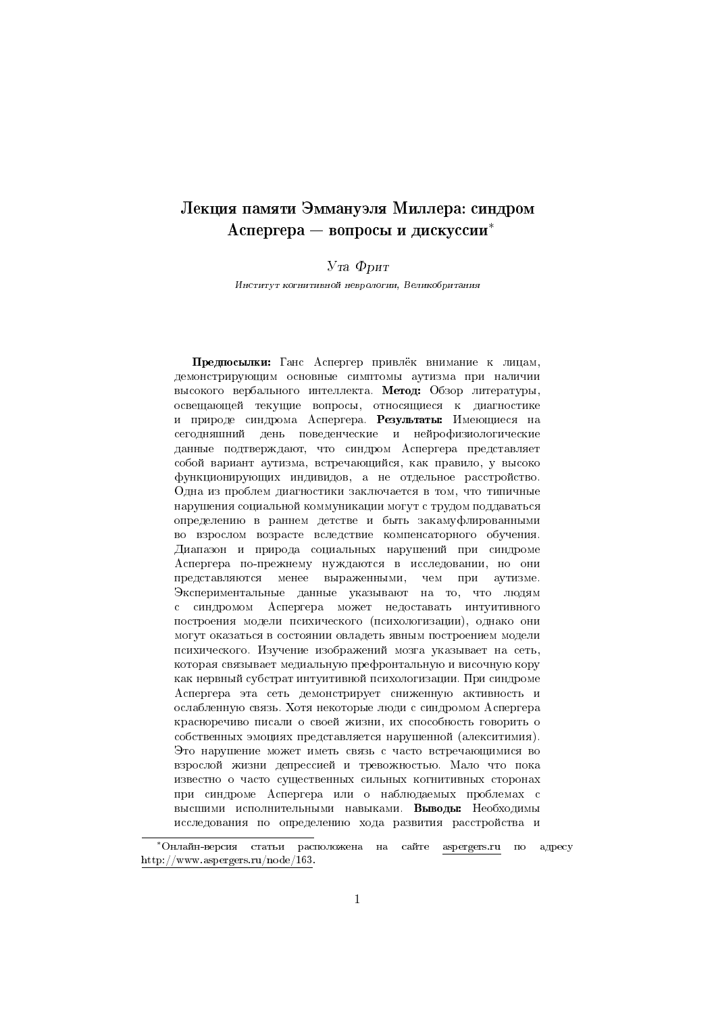# Лекция памяти Эммануэля Миллера: синдром Аспергера — вопросы и дискуссии\*

 $Y_{T}a \Phi_{D}nT$ 

Институт когнитивной неврологии, Великобритания

Предпосылки: Ганс Аспергер привлёк внимание к лицам. демонстрирующим основные симптомы аутизма при наличии высокого вербального интеллекта. Метод: Обзор литературы, освещающей текущие вопросы, относящиеся к диагностике и природе синдрома Аспергера. Результаты: Имеющиеся на сегодняшний день поведенческие и нейрофизиологические данные подтверждают, что синдром Аспергера представляет собой вариант аутизма, встречающийся, как правило, у высоко функционирующих индивидов, а не отдельное расстройство. Одна из проблем диагностики заключается в том, что типичные нарушения социальной коммуникации могут с трудом поддаваться определению в раннем детстве и быть закамуфлированными во взрослом возрасте вследствие компенсаторного обучения. Диапазон и природа социальных нарушений при синдроме Аспергера по-прежнему нуждаются в исследовании, но они представляются менее выраженными, чем при аутизме. Экспериментальные данные указывают на то, что людям с синдромом Аспергера может недоставать интуитивного построения модели психического (психологизации), однако они могут оказаться в состоянии овладеть явным построением модели психического. Изучение изображений мозга указывает на сеть, которая связывает медиальную префронтальную и височную кору как нервный субстрат интуитивной психологизации. При синдроме Аспергера эта сеть демонстрирует сниженную активность и ослабленную связь. Хотя некоторые люди с синдромом Аспергера красноречиво писали о своей жизни, их способность говорить о собственных эмоциях представляется нарушенной (алекситимия). Это нарушение может иметь связь с часто встречающимися во взрослой жизни депрессией и тревожностью. Мало что пока известно о часто существенных сильных когнитивных сторонах при синдроме Аспергера или о наблюдаемых проблемах с высшими исполнительными навыками. Выводы: Необходимы исследования по определению хода развития расстройства и

<sup>\*</sup>Онлайн-версия статьи расположена на сайте aspergers.ru no адресу http://www.aspergers.ru/node/163.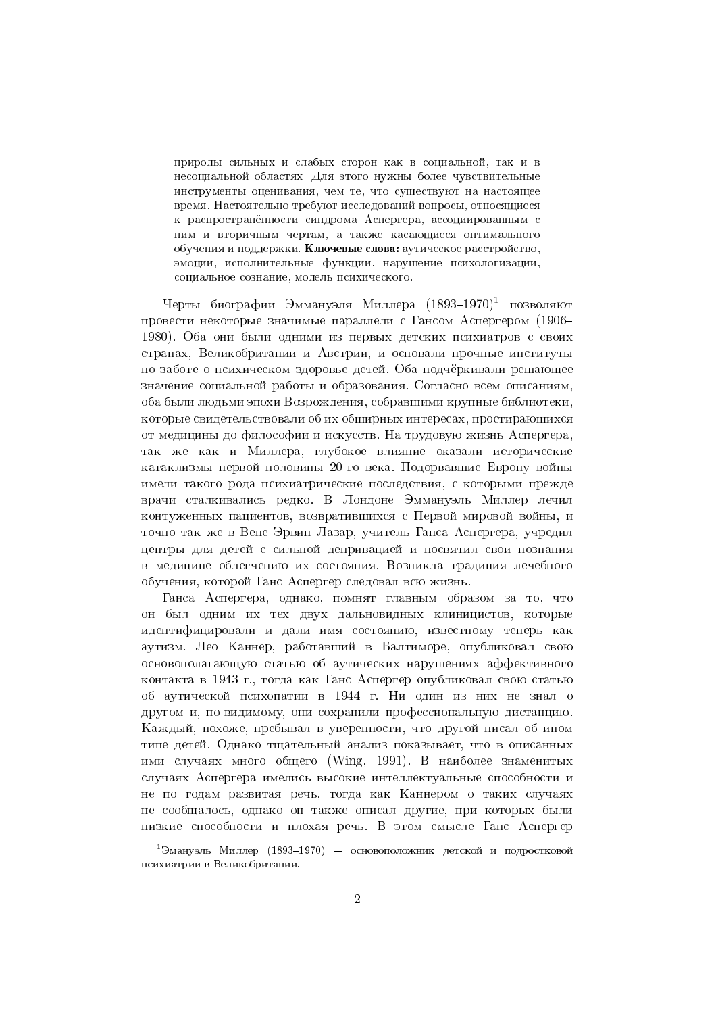природы сильных и слабых сторон как в социальной, так и в несоциальной областях. Для этого нужны более чувствительные инструменты оценивания, чем те, что существуют на настоящее время. Настоятельно требуют исследований вопросы, относящиеся к распространённости синдрома Аспергера, ассоциированным с ним и вторичным чертам, а также касающиеся оптимального обучения и поддержки. Ключевые слова: аутическое расстройство, эмоции, исполнительные функции, нарушение психологизации, социальное сознание, модель психического.

Черты биографии Эммануэля Миллера (1893-1970)<sup>1</sup> позволяют провести некоторые значимые параллели с Гансом Аспергером (1906-1980). Оба они были одними из первых детских психиатров с своих странах, Великобритании и Австрии, и основали прочные институты по заботе о психическом здоровье детей. Оба подчёркивали решающее значение социальной работы и образования. Согласно всем описаниям. оба были людьми эпохи Возрождения, собравшими крупные библиотеки, которые свидетельствовали об их обширных интересах, простирающихся от медицины до философии и искусств. На трудовую жизнь Аспергера, так же как и Миллера, глубокое влияние оказали исторические катаклизмы первой половины 20-го века. Подорвавшие Европу войны имели такого рода психиатрические последствия, с которыми прежде врачи сталкивались редко. В Лондоне Эммануэль Миллер лечил контуженных пациентов, возвратившихся с Первой мировой войны, и точно так же в Вене Эрвин Лазар, учитель Ганса Аспергера, учредил центры для детей с сильной депривацией и посвятил свои познания в медицине облегчению их состояния. Возникла традиция лечебного обучения, которой Ганс Аспергер следовал всю жизнь.

Ганса Аспергера, однако, помнят главным образом за то, что он был одним их тех двух дальновидных клиницистов, которые идентифицировали и дали имя состоянию, известному теперь как аутизм. Лео Каннер, работавший в Балтиморе, опубликовал свою основополагающую статью об аутических нарушениях аффективного контакта в 1943 г., тогда как Ганс Аспергер опубликовал свою статью об аутической психопатии в 1944 г. Ни один из них не знал о другом и, по-видимому, они сохранили профессиональную дистанцию. Каждый, похоже, пребывал в уверенности, что другой писал об ином типе детей. Однако тщательный анализ показывает, что в описанных ими случаях много общего (Wing, 1991). В наиболее знаменитых случаях Аспергера имелись высокие интеллектуальные способности и не по годам развитая речь, тогда как Каннером о таких случаях не сообщалось, однако он также описал другие, при которых были низкие способности и плохая речь. В этом смысле Ганс Аспергер

<sup>&</sup>lt;sup>1</sup>Эмануэль Миллер (1893–1970) — основоположник детской и подростковой психиатрии в Великобритании.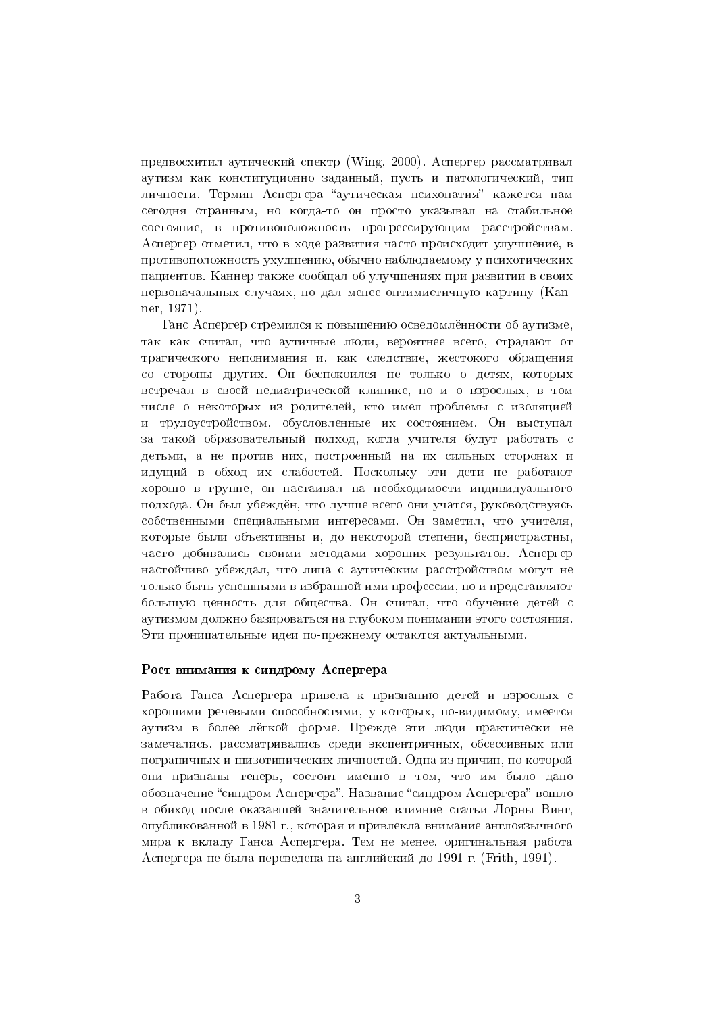предвосхитил аутический спектр (Wing, 2000). Аспергер рассматривал аутизм как конституционно заданный, пусть и патологический, тип личности. Термин Аспергера "аутическая психопатия" кажется нам сегодня странным, но когда-то он просто указывал на стабильное состояние, в противоположность прогрессирующим расстройствам. Аспергер отметил, что в ходе развития часто происходит улучшение, в противоположность ухулшению, обычно наблюдаемому у психотических пациентов. Каннер также сообщал об улучшениях при развитии в своих первоначальных случаях, но дал менее оптимистичную картину (Kanner, 1971).

Ганс Аспергер стремился к повышению осведомлённости об аутизме, так как считал, что аутичные люди, вероятнее всего, страдают от трагического непонимания и, как следствие, жестокого обращения со стороны других. Он беспокоился не только о детях, которых встречал в своей педиатрической клинике, но и о взрослых, в том числе о некоторых из родителей, кто имел проблемы с изоляцией и трудоустройством, обусловленные их состоянием. Он выступал за такой образовательный подход, когда учителя будут работать с детьми, а не против них, построенный на их сильных сторонах и идущий в обход их слабостей. Поскольку эти дети не работают хорошо в группе, он настаивал на необходимости индивидуального подхода. Он был убеждён, что лучше всего они учатся, руководствуясь собственными специальными интересами. Он заметил, что учителя, которые были объективны и, ло некоторой степени, беспристрастны, часто добивались своими методами хороших результатов. Аспергер настойчиво убеждал, что лица с аутическим расстройством могут не только быть успешными в избранной ими профессии, но и представляют большую ценность для общества. Он считал, что обучение детей с аутизмом должно базироваться на глубоком понимании этого состояния. Эти проницательные идеи по-прежнему остаются актуальными.

# Рост внимания к синдрому Аспергера

Работа Ганса Аспергера привела к признанию летей и взрослых с хорошими речевыми способностями, у которых, по-видимому, имеется аутизм в более лёгкой форме. Прежде эти люди практически не замечались, рассматривались среди эксцентричных, обсессивных или пограничных и шизотипических личностей. Одна из причин, по которой они признаны теперь, состоит именно в том, что им было дано обозначение "синдром Аспергера". Название "синдром Аспергера" вошло в обиход после оказавшей значительное влияние статьи Лорны Винг, опубликованной в 1981 г., которая и привлекла внимание англоязычного мира к вкладу Ганса Аспергера. Тем не менее, оригинальная работа Аспергера не была переведена на английский до 1991 г. (Frith, 1991).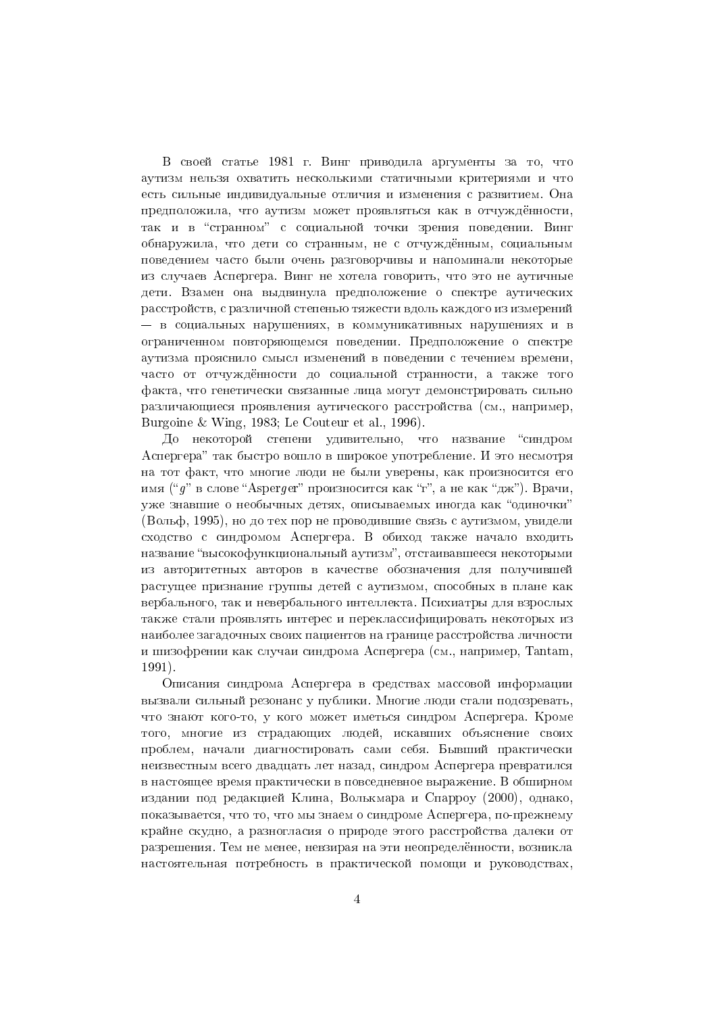В своей статье 1981 г. Винг приводила аргументы за то, что аутизм нельзя охватить несколькими статичными критериями и что есть сильные индивидуальные отличия и изменения с развитием. Она предположила, что аутизм может проявляться как в отчуждённости, так и в "странном" с социальной точки зрения поведении. Винг обнаружила, что дети со странным, не с отчуждённым, социальным повелением часто были очень разговорчивы и напоминали некоторые из случаев Аспергера. Винг не хотела говорить, что это не аутичные дети. Взамен она выдвинула предположение о спектре аутических расстройств, с различной степенью тяжести вдоль каждого из измерений - в социальных нарушениях, в коммуникативных нарушениях и в ограниченном повторяющемся поведении. Предположение о спектре аутизма прояснило смысл изменений в поведении с течением времени, часто от отчуждённости до социальной странности, а также того факта, что генетически связанные лица могут демонстрировать сильно различающиеся проявления аутического расстройства (см., например, Burgoine & Wing, 1983; Le Couteur et al., 1996).

До некоторой степени удивительно, что название "синдром Аспергера" так быстро вошло в широкое употребление. И это несмотря на тот факт, что многие люди не были уверены, как произносится его имя ("q" в слове "Asperger" произносится как "г", а не как "дж"). Врачи, уже знавшие о необычных детях, описываемых иногда как "одиночки" (Вольф, 1995), но до тех пор не проводившие связь с аутизмом, увидели схолство с синдромом Аспергера. В обихол также начало вхолить название "высокофункциональный аутизм", отстаивавшееся некоторыми из авторитетных авторов в качестве обозначения для получившей растущее признание группы детей с аутизмом, способных в плане как вербального, так и невербального интеллекта. Психиатры для взрослых также стали проявлять интерес и переклассифицировать некоторых из наиболее загадочных своих пациентов на границе расстройства личности и шизофрении как случаи синдрома Аспергера (см., например, Tantam,  $1991$ .

Описания синдрома Аспергера в средствах массовой информации вызвали сильный резонанс у публики. Многие люди стали подозревать, что знают кого-то, у кого может иметься синдром Аспергера. Кроме того, многие из стралающих людей, искавших объяснение своих проблем, начали диагностировать сами себя. Бывший практически неизвестным всего двадцать лет назад, синдром Аспергера превратился в настоящее время практически в повседневное выражение. В обширном издании под редакцией Клина, Волькмара и Спарроу (2000), однако, показывается, что то, что мы знаем о синдроме Аспергера, по-прежнему крайне скудно, а разногласия о природе этого расстройства далеки от разрешения. Тем не менее, невзирая на эти неопределённости, возникла настоятельная потребность в практической помощи и руководствах,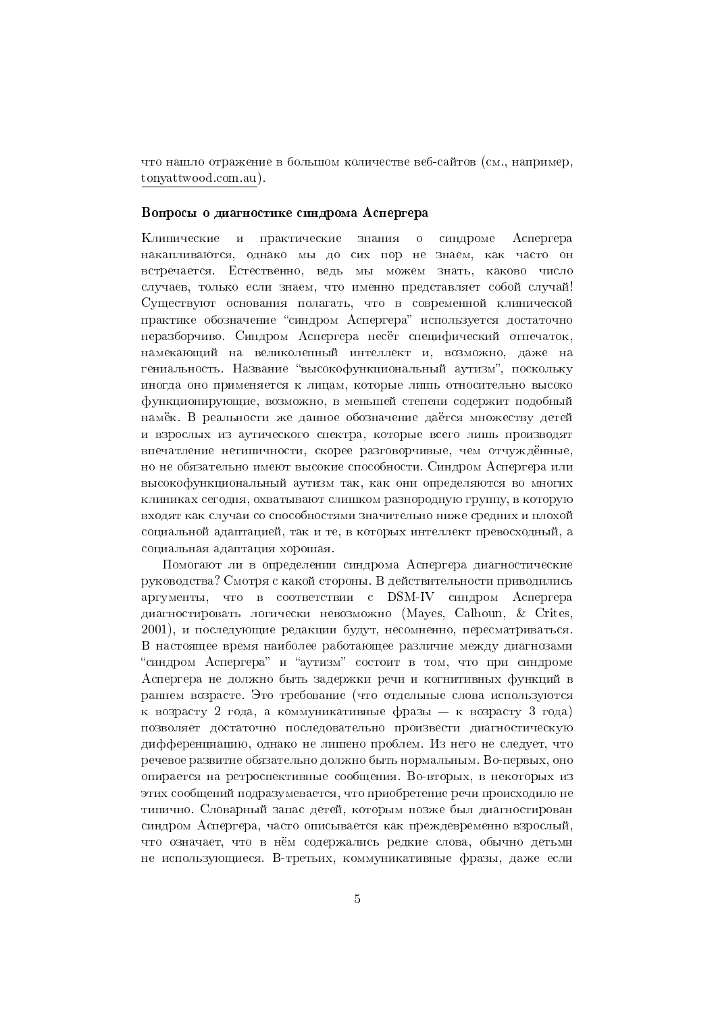что нашло отражение в большом количестве веб-сайтов (см., например, tonyattwood.com.au).

#### Вопросы о диагностике синдрома Аспергера

Клинические и практические знания  $\overline{O}$ синдроме Аспергера накапливаются, однако мы до сих пор не знаем, как часто он встречается. Естественно, ведь мы можем знать, каково число случаев, только если знаем, что именно представляет собой случай! Существуют основания полагать, что в современной клинической практике обозначение "синдром Аспергера" используется достаточно неразборчиво. Синдром Аспергера несёт специфический отпечаток, намекающий на великолепный интеллект и, возможно, даже на гениальность. Название "высокофункциональный аутизм", поскольку иногда оно применяется к лицам, которые лишь относительно высоко функционирующие, возможно, в меньшей степени содержит подобный намёк. В реальности же данное обозначение даётся множеству детей и взрослых из аутического спектра, которые всего лишь производят впечатление нетипичности, скорее разговорчивые, чем отчуждённые, но не обязательно имеют высокие способности. Синдром Аспергера или высокофункциональный аутизм так, как они определяются во многих клиниках сегодня, охватывают слишком разнородную группу, в которую входят как случаи со способностями значительно ниже средних и плохой социальной адаптацией, так и те, в которых интеллект превосходный, а социальная адаптация хорошая.

Помогают ли в определении синдрома Аспергера диагностические руководства? Смотря с какой стороны. В действительности приводились аргументы, что в соответствии с DSM-IV синдром Аспергера диагностировать логически невозможно (Mayes, Calhoun, & Crites, 2001), и последующие редакции будут, несомненно, пересматриваться. В настоящее время наиболее работающее различие между диагнозами "синдром Аспергера" и "аутизм" состоит в том, что при синдроме Аспергера не должно быть задержки речи и когнитивных функций в раннем возрасте. Это требование (что отдельные слова используются к возрасту 2 года, а коммуникативные фразы — к возрасту 3 года) позволяет достаточно последовательно произвести диагностическую дифференциацию, однако не лишено проблем. Из него не следует, что речевое развитие обязательно должно быть нормальным. Во-первых, оно опирается на ретроспективные сообщения. Во-вторых, в некоторых из этих сообщений подразумевается, что приобретение речи происходило не типично. Словарный запас детей, которым позже был диагностирован синдром Аспергера, часто описывается как преждевременно взрослый, что означает, что в нём содержались редкие слова, обычно детьми не использующиеся. В-третьих, коммуникативные фразы, даже если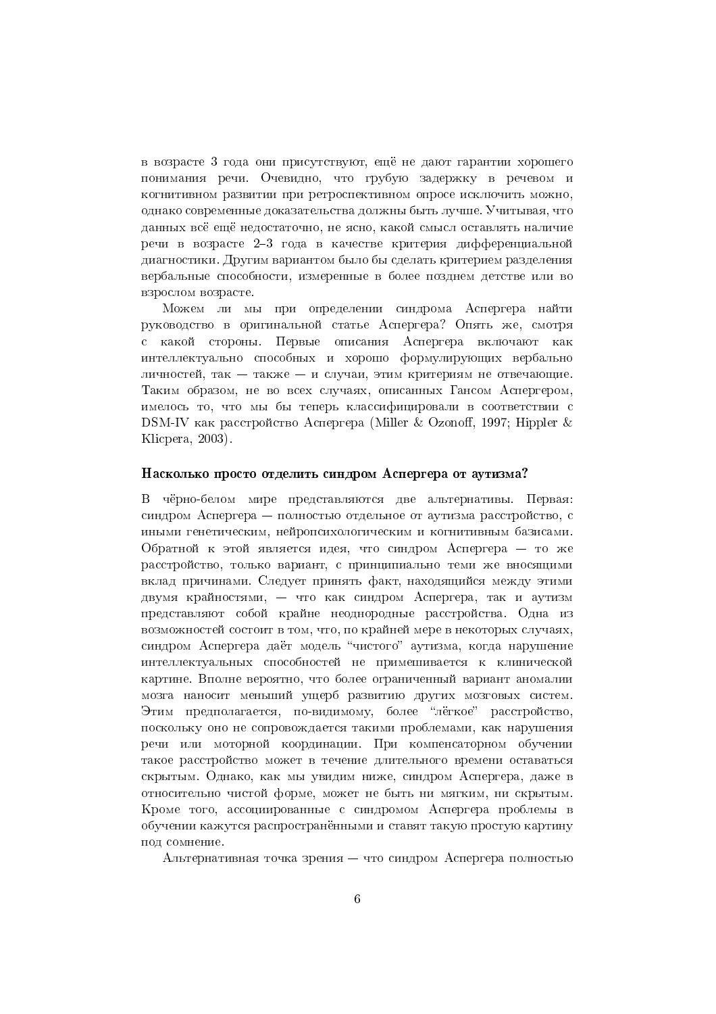в возрасте 3 года они присутствуют, ещё не дают гарантии хорошего понимания речи. Очевидно, что грубую задержку в речевом и когнитивном развитии при ретроспективном опросе исключить можно, однако современные доказательства должны быть лучше. Учитывая, что данных всё ещё недостаточно, не ясно, какой смысл оставлять наличие речи в возрасте 2-3 года в качестве критерия дифференциальной лиагностики. Лругим вариантом было бы слелать критерием разделения вербальные способности, измеренные в более позднем детстве или во взрослом возрасте.

Можем ли мы при определении синдрома Аспергера найти руководство в оригинальной статье Аспергера? Опять же, смотря с какой стороны. Первые описания Аспергера включают как интеллектуально способных и хорошо формулирующих вербально личностей, так - также - и случаи, этим критериям не отвечающие. Таким образом, не во всех случаях, описанных Гансом Аспергером, имелось то, что мы бы теперь классифицировали в соответствии с DSM-IV как расстройство Аспергера (Miller & Ozonoff, 1997; Hippler & Klicpera, 2003).

#### Насколько просто отделить синдром Аспергера от аутизма?

В чёрно-белом мире представляются две альтернативы. Первая: синдром Аспергера - полностью отдельное от аутизма расстройство, с иными генетическим, нейропсихологическим и когнитивным базисами. Обратной к этой является идея, что синдром Аспергера - то же расстройство, только вариант, с принципиально теми же вносящими вклад причинами. Следует принять факт, находящийся между этими двумя крайностями, - что как синдром Аспергера, так и аутизм представляют собой крайне неоднородные расстройства. Одна из возможностей состоит в том, что, по крайней мере в некоторых случаях, синдром Аспергера даёт модель "чистого" аутизма, когда нарушение интеллектуальных способностей не примешивается к клинической картине. Вполне вероятно, что более ограниченный вариант аномалии мозга наносит меньший ущерб развитию других мозговых систем. Этим предполагается, по-видимому, более "лёгкое" расстройство, поскольку оно не сопровождается такими проблемами, как нарушения речи или моторной координации. При компенсаторном обучении такое расстройство может в течение длительного времени оставаться скрытым. Однако, как мы увидим ниже, синдром Аспергера, даже в относительно чистой форме, может не быть ни мягким, ни скрытым. Кроме того, ассоциированные с синдромом Аспергера проблемы в обучении кажутся распространёнными и ставят такую простую картину под сомнение.

Альтернативная точка зрения – что синдром Аспергера полностью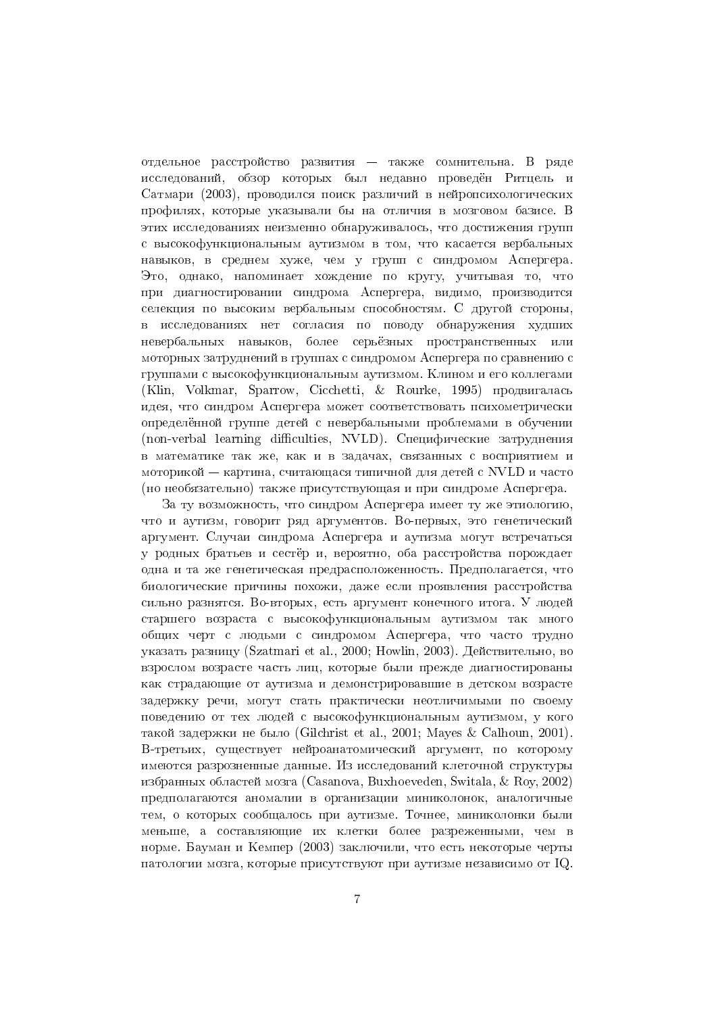отдельное расстройство развития — также сомнительна. В ряде исследований, обзор которых был недавно проведён Ритцель и Сатмари (2003), проводился поиск различий в нейропсихологических профилях, которые указывали бы на отличия в мозговом базисе. В этих исследованиях неизменно обнаруживалось, что достижения групп с высокофункциональным аутизмом в том, что касается вербальных навыков, в среднем хуже, чем у групп с синдромом Аспергера. Это, однако, напоминает хождение по кругу, учитывая то, что при диагностировании синдрома Аспергера, видимо, производится селекция по высоким вербальным способностям. С другой стороны, в исследованиях нет согласия по поводу обнаружения худших невербальных навыков, более серьёзных пространственных или моторных затруднений в группах с синдромом Аспергера по сравнению с группами с высокофункциональным аутизмом. Клином и его коллегами (Klin, Volkmar, Sparrow, Cicchetti, & Rourke, 1995) продвигалась идея, что синдром Аспергера может соответствовать психометрически определённой группе детей с невербальными проблемами в обучении (non-verbal learning difficulties, NVLD). Специфические затруднения в математике так же, как и в задачах, связанных с восприятием и моторикой — картина, считающася типичной для детей с NVLD и часто (но необязательно) также присутствующая и при синдроме Аспергера.

За ту возможность, что синдром Аспергера имеет ту же этиологию, что и аутизм, говорит ряд аргументов. Во-первых, это генетический аргумент. Случаи синдрома Аспергера и аутизма могут встречаться у родных братьев и сестёр и, вероятно, оба расстройства порождает одна и та же генетическая предрасположенность. Предполагается, что биологические причины похожи, даже если проявления расстройства сильно разнятся. Во-вторых, есть аргумент конечного итога. У людей старшего возраста с высокофункциональным аутизмом так много общих черт с людьми с синдромом Аспергера, что часто трудно указать разницу (Szatmari et al., 2000; Howlin, 2003). Действительно, во взрослом возрасте часть лиц, которые были прежде диагностированы как страдающие от аутизма и демонстрировавшие в детском возрасте задержку речи, могут стать практически неотличимыми по своему поведению от тех людей с высокофункциональным аутизмом, у кого такой залержки не было (Gilchrist et al., 2001; Mayes & Calhoun, 2001). В-третьих, существует нейроанатомический аргумент, по которому имеются разрозненные данные. Из исследований клеточной структуры избранных областей мозга (Casanova, Buxhoeveden, Switala, & Roy, 2002) предполагаются аномалии в организации миниколонок, аналогичные тем, о которых сообщалось при аутизме. Точнее, миниколонки были меньше, а составляющие их клетки более разреженными, чем в норме. Бауман и Кемпер (2003) заключили, что есть некоторые черты патологии мозга, которые присутствуют при аутизме независимо от IQ.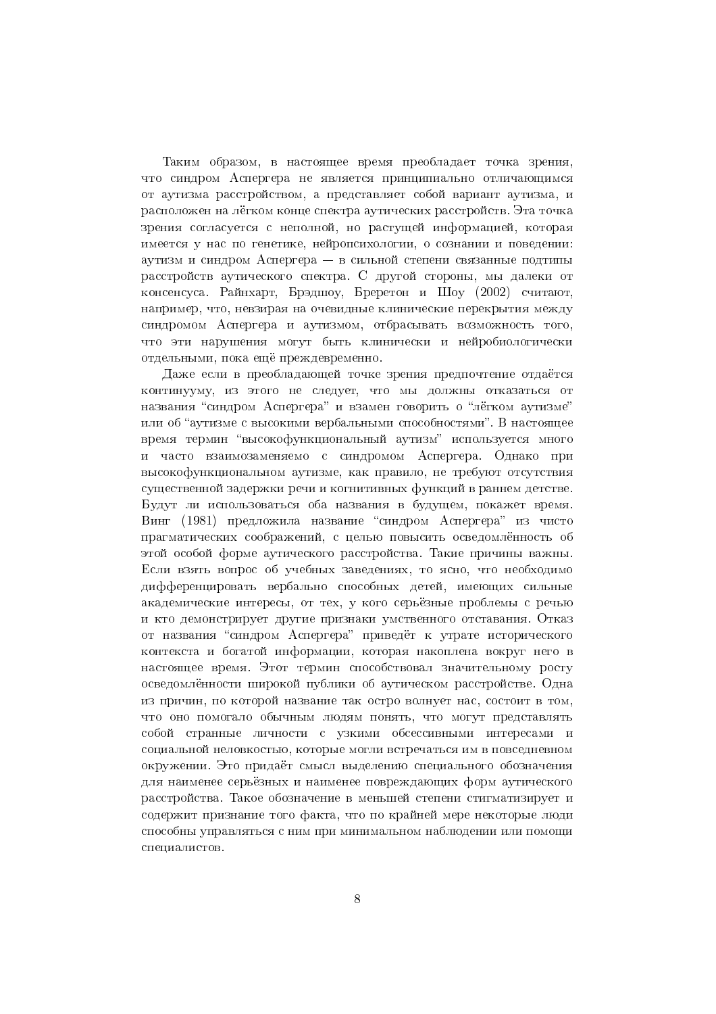Таким образом, в настоящее время преобладает точка зрения, что синдром Аспергера не является принципиально отличающимся от аутизма расстройством, а представляет собой вариант аутизма, и расположен на лёгком конце спектра аутических расстройств. Эта точка зрения согласуется с неполной, но растущей информацией, которая имеется у нас по генетике, нейропсихологии, о сознании и поведении: аутизм и синдром Аспергера — в сильной степени связанные полтипы расстройств аутического спектра. С другой стороны, мы далеки от консенсуса. Райнхарт, Брэдшоу, Бреретон и Шоу (2002) считают, например, что, невзирая на очевидные клинические перекрытия между синдромом Аспергера и аутизмом, отбрасывать возможность того, что эти нарушения могут быть клинически и нейробиологически отдельными, пока ещё преждевременно.

Даже если в преобладающей точке зрения предпочтение отдаётся континууму, из этого не следует, что мы должны отказаться от названия "синдром Аспергера" и взамен говорить о "лёгком аутизме" или об "аутизме с высокими вербальными способностями". В настоящее время термин "высокофункциональный аутизм" используется много и часто взаимозаменяемо с синдромом Аспергера. Однако при высокофункциональном аутизме, как правило, не требуют отсутствия существенной задержки речи и когнитивных функций в раннем детстве. Будут ли использоваться оба названия в будущем, покажет время. Винг (1981) предложила название "синдром Аспергера" из чисто прагматических соображений, с нелью повысить осведомлённость об этой особой форме аутического расстройства. Такие причины важны. Если взять вопрос об учебных заведениях, то ясно, что необходимо дифференцировать вербально способных детей, имеющих сильные академические интересы, от тех, у кого серьёзные проблемы с речью и кто демонстрирует другие признаки умственного отставания. Отказ от названия "синдром Аспергера" приведёт к утрате исторического контекста и богатой информации, которая накоплена вокруг него в настоящее время. Этот термин способствовал значительному росту осведомлённости широкой публики об аутическом расстройстве. Одна из причин, по которой название так остро волнует нас, состоит в том, что оно помогало обычным людям понять, что могут представлять собой странные личности с узкими обсессивными интересами и социальной неловкостью, которые могли встречаться им в повседневном окружении. Это придаёт смысл выделению специального обозначения для наименее серьёзных и наименее повреждающих форм аутического расстройства. Такое обозначение в меньшей степени стигматизирует и содержит признание того факта, что по крайней мере некоторые люди способны управляться с ним при минимальном наблюдении или помощи специалистов.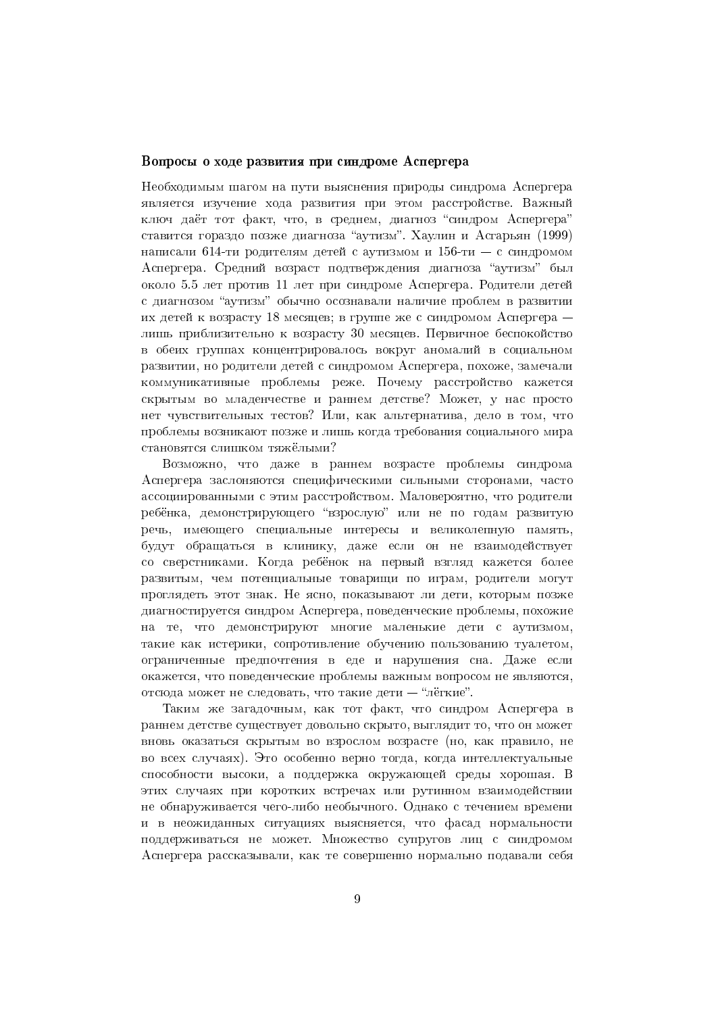#### Вопросы о ходе развития при синдроме Аспергера

Необходимым шагом на пути выяснения природы синдрома Аспергера является изучение хода развития при этом расстройстве. Важный ключ лаёт тот факт, что, в среднем, лиагноз "синдром Аспергера" ставится гораздо позже диагноза "аутизм". Хаулин и Асгарьян (1999) написали 614-ти родителям детей с аутизмом и 156-ти - с синдромом Аспергера. Средний возраст подтверждения диагноза "аутизм" был около 5.5 лет против 11 лет при синдроме Аспергера. Родители детей с диагнозом "аутизм" обычно осознавали наличие проблем в развитии их детей к возрасту 18 месяцев; в группе же с синдромом Аспергера лишь приблизительно к возрасту 30 месяцев. Первичное беспокойство в обеих группах концентрировалось вокруг аномалий в социальном развитии, но родители детей с синдромом Аспергера, похоже, замечали коммуникативные проблемы реже. Почему расстройство кажется скрытым во младенчестве и раннем детстве? Может, у нас просто нет чувствительных тестов? Или, как альтернатива, дело в том, что проблемы возникают позже и лишь когла требования социального мира становятся слишком тяжёлыми?

Возможно, что даже в раннем возрасте проблемы синдрома Аспергера заслоняются специфическими сильными сторонами, часто ассоциированными с этим расстройством. Маловероятно, что родители ребёнка, демонстрирующего "взрослую" или не по годам развитую речь, имеющего специальные интересы и великолепную память, будут обращаться в клинику, даже если он не взаимодействует со сверстниками. Когда ребёнок на первый взгляд кажется более развитым, чем потенциальные товарищи по играм, родители могут проглядеть этот знак. Не ясно, показывают ли дети, которым позже диагностируется синдром Аспергера, поведенческие проблемы, похожие на те, что демонстрируют многие маленькие дети с аутизмом, такие как истерики, сопротивление обучению пользованию туалетом, ограниченные предпочтения в еде и нарушения сна. Даже если окажется, что поведенческие проблемы важным вопросом не являются, отсюда может не следовать, что такие дети - "лёгкие".

Таким же загадочным, как тот факт, что синдром Аспергера в раннем детстве существует довольно скрыто, выглядит то, что он может вновь оказаться скрытым во взрослом возрасте (но, как правило, не во всех случаях). Это особенно верно тогда, когда интеллектуальные способности высоки, а поддержка окружающей среды хорошая. В этих случаях при коротких встречах или рутинном взаимодействии не обнаруживается чего-либо необычного. Однако с течением времени и в неожиданных ситуациях выясняется, что фасад нормальности поддерживаться не может. Множество супругов лиц с синдромом Аспергера рассказывали, как те совершенно нормально подавали себя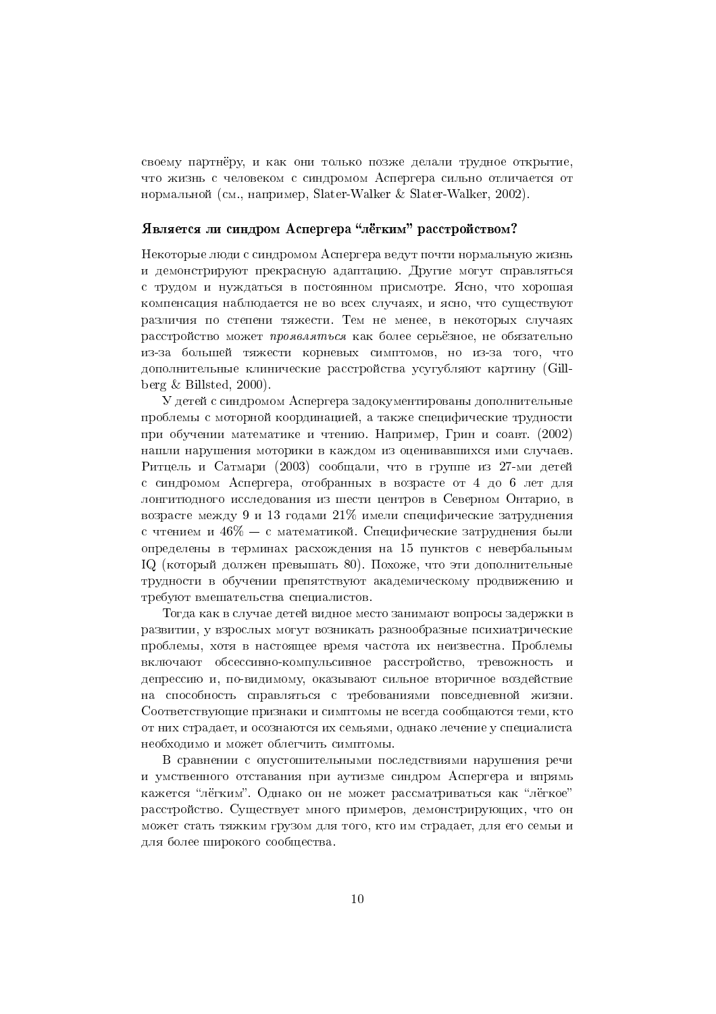своему партнёру, и как они только позже делали трудное открытие, что жизнь с человеком с синдромом Аспергера сильно отличается от нормальной (см., например, Slater-Walker & Slater-Walker, 2002).

# Является ли синдром Аспергера "лёгким" расстройством?

Некоторые люди с синдромом Аспергера ведут почти нормальную жизнь и демонстрируют прекрасную адаптацию. Другие могут справляться с трудом и нуждаться в постоянном присмотре. Ясно, что хорошая компенсация наблюдается не во всех случаях, и ясно, что существуют различия по степени тяжести. Тем не менее, в некоторых случаях расстройство может проявляться как более серьёзное, не обязательно из-за большей тяжести корневых симптомов, но из-за того, что дополнительные клинические расстройства усугубляют картину (Gillberg  $\&$  Billsted, 2000).

У детей с синдромом Аспергера задокументированы дополнительные проблемы с моторной координацией, а также специфические трудности при обучении математике и чтению. Например, Грин и соавт. (2002) нашли нарушения моторики в каждом из оценивавшихся ими случаев. Ритцель и Сатмари (2003) сообщали, что в группе из 27-ми детей с синдромом Аспергера, отобранных в возрасте от 4 до 6 лет для лонгитюдного исследования из шести центров в Северном Онтарио, в возрасте между 9 и 13 годами 21% имели специфические затруднения с чтением и  $46\% - c$  математикой. Специфические затруднения были определены в терминах расхождения на 15 пунктов с невербальным IQ (который должен превышать 80). Похоже, что эти дополнительные трудности в обучении препятствуют академическому продвижению и требуют вмешательства специалистов.

Тогда как в случае детей видное место занимают вопросы задержки в развитии, у взрослых могут возникать разнообразные психиатрические проблемы, хотя в настоящее время частота их неизвестна. Проблемы включают обсессивно-компульсивное расстройство, тревожность и депрессию и, по-видимому, оказывают сильное вторичное воздействие на способность справляться с требованиями повседневной жизни. Соответствующие признаки и симптомы не всегда сообщаются теми, кто от них страдает, и осознаются их семьями, однако лечение у специалиста необходимо и может облегчить симптомы.

В сравнении с опустошительными последствиями нарушения речи и умственного отставания при аутизме синдром Аспергера и впрямь кажется "лёгким". Однако он не может рассматриваться как "лёгкое" расстройство. Существует много примеров, демонстрирующих, что он может стать тяжким грузом для того, кто им страдает, для его семьи и для более широкого сообщества.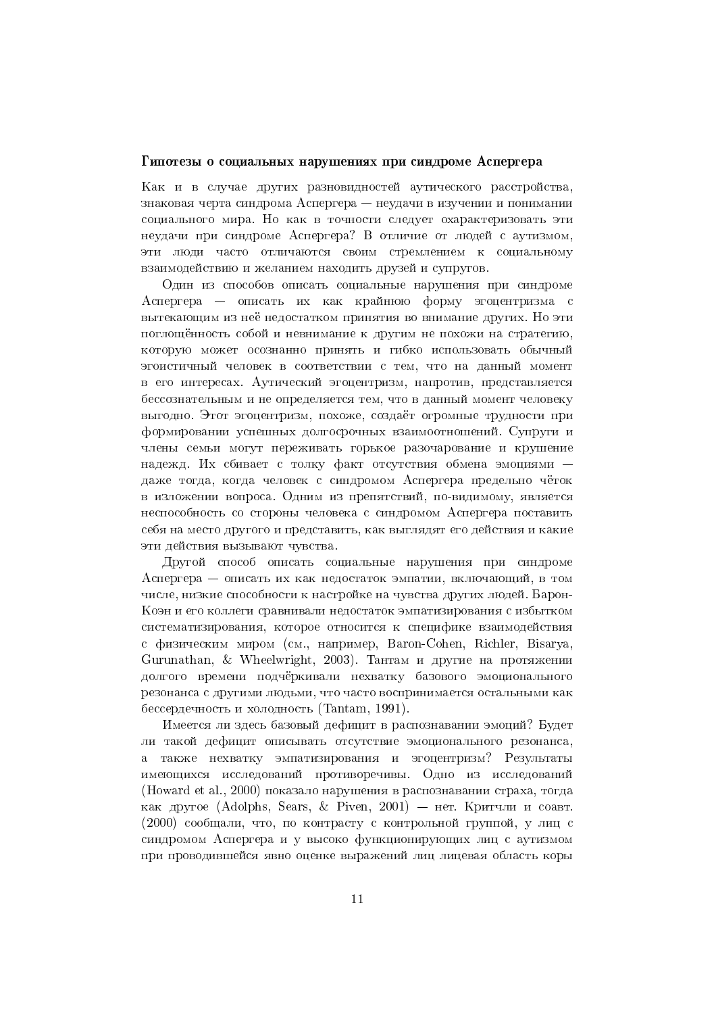#### Гипотезы о социальных нарушениях при синдроме Аспергера

Как и в случае других разновидностей аутического расстройства. знаковая черта синдрома Аспергера – неудачи в изучении и понимании социального мира. Но как в точности следует охарактеризовать эти неудачи при синдроме Аспергера? В отличие от людей с аутизмом, эти люди часто отличаются своим стремлением к социальному взаимодействию и желанием находить друзей и супругов.

Один из способов описать социальные нарушения при синдроме Аспергера — описать их как крайнюю форму эгоцентризма с вытекающим из неё недостатком принятия во внимание других. Но эти поглощённость собой и невнимание к другим не похожи на стратегию, которую может осознанно принять и гибко использовать обычный эгоистичный человек в соответствии с тем, что на данный момент в его интересах. Аутический эгоцентризм, напротив, представляется бессознательным и не определяется тем, что в данный момент человеку выгодно. Этот эгоцентризм, похоже, создаёт огромные трудности при формировании успешных лолгосрочных взаимоотношений. Супруги и члены семьи могут переживать горькое разочарование и крушение надежд. Их сбивает с толку факт отсутствия обмена эмоциями даже тогда, когда человек с синдромом Аспергера предельно чёток в изложении вопроса. Одним из препятствий, по-видимому, является неспособность со стороны человека с синдромом Аспергера поставить себя на место другого и представить, как выглядят его действия и какие эти действия вызывают чувства.

Другой способ описать социальные нарушения при синдроме Аспергера — описать их как недостаток эмпатии, включающий, в том числе, низкие способности к настройке на чувства других людей. Барон-Коэн и его коллеги сравнивали недостаток эмпатизирования с избытком систематизирования, которое относится к специфике взаимодействия с физическим миром (см., например, Baron-Cohen, Richler, Bisarya, Gurunathan, & Wheelwright, 2003). Тантам и другие на протяжении долгого времени подчёркивали нехватку базового эмоционального резонанса с другими людьми, что часто воспринимается остальными как бессердечность и холодность (Tantam, 1991).

Имеется ли здесь базовый дефицит в распознавании эмоций? Будет ли такой дефицит описывать отсутствие эмоционального резонанса, а также нехватку эмпатизирования и эгоцентризм? Результаты имеющихся исследований противоречивы. Одно из исследований (Howard et al., 2000) показало нарушения в распознавании страха, тогда как другое (Adolphs, Sears, & Piven, 2001) — нет. Критчли и соавт. (2000) сообщали, что, по контрасту с контрольной группой, у лиц с синдромом Аспергера и у высоко функционирующих лиц с аутизмом при проводившейся явно оценке выражений лиц лицевая область коры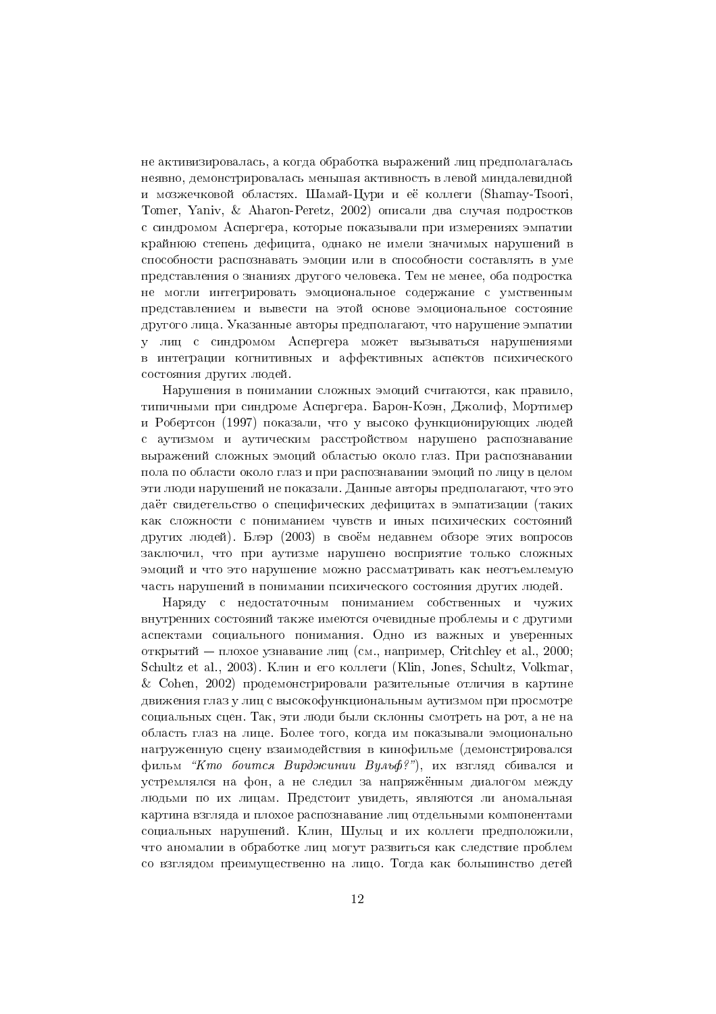не активизировалась, а когда обработка выражений лиц предполагалась неявно, демонстрировалась меньшая активность в левой миндалевидной и мозжечковой областях. Шамай-Цури и её коллеги (Shamay-Tsoori, Tomer, Yaniv, & Aharon-Peretz, 2002) описали два случая подростков с синдромом Аспергера, которые показывали при измерениях эмпатии крайнюю степень дефицита, однако не имели значимых нарушений в способности распознавать эмоции или в способности составлять в уме представления о знаниях другого человека. Тем не менее, оба подростка не могли интегрировать эмоциональное содержание с умственным представлением и вывести на этой основе эмоциональное состояние другого лица. Указанные авторы предполагают, что нарушение эмпатии у лиц с синдромом Аспергера может вызываться нарушениями в интеграции когнитивных и аффективных аспектов психического состояния других людей.

Нарушения в понимании сложных эмоций считаются, как правило, типичными при синдроме Аспергера. Барон-Коэн, Джолиф, Мортимер и Робертсон (1997) показали, что у высоко функционирующих людей с аутизмом и аутическим расстройством нарушено распознавание выражений сложных эмоций областью около глаз. При распознавании пола по области около глаз и при распознавании эмоций по лицу в целом эти люди нарушений не показали. Данные авторы предполагают, что это даёт свидетельство о специфических дефицитах в эмпатизации (таких как сложности с пониманием чувств и иных психических состояний лругих люлей). Блэр (2003) в своём нелавнем обзоре этих вопросов заключил, что при аутизме нарушено восприятие только сложных эмоций и что это нарушение можно рассматривать как неотъемлемую часть нарушений в понимании психического состояния других людей.

Наряду с недостаточным пониманием собственных и чужих внутренних состояний также имеются очевидные проблемы и с другими аспектами социального понимания. Одно из важных и уверенных открытий — плохое узнавание лиц (см., например, Critchley et al., 2000; Schultz et al., 2003). Клин и его коллеги (Klin, Jones, Schultz, Volkmar, & Cohen, 2002) продемонстрировали разительные отличия в картине движения глаз у лиц с высокофункциональным аутизмом при просмотре социальных сцен. Так, эти люди были склонны смотреть на рот, а не на область глаз на лице. Более того, когла им показывали эмоционально нагруженную сцену взаимодействия в кинофильме (демонстрировался фильм "Кто боится Вирджинии Вульф?"), их взгляд сбивался и устремлялся на фон, а не следил за напряжённым диалогом между людьми по их лицам. Предстоит увидеть, являются ли аномальная картина взгляда и плохое распознавание лиц отдельными компонентами социальных нарушений. Клин, Шульц и их коллеги предположили, что аномалии в обработке лиц могут развиться как следствие проблем со взглядом преимущественно на лицо. Тогда как большинство детей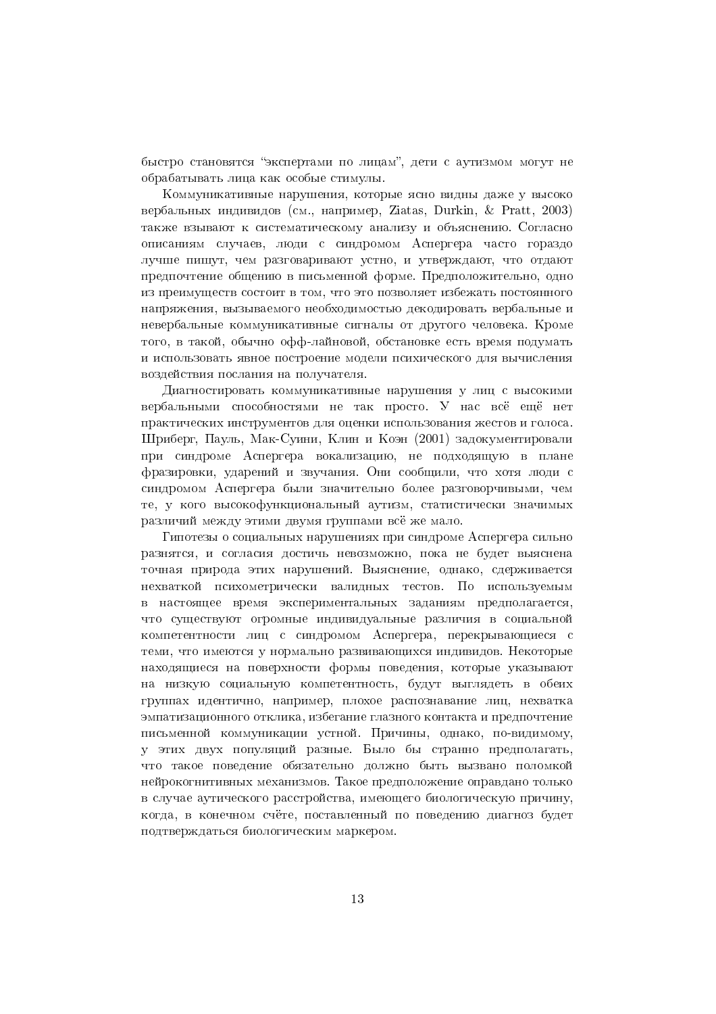быстро становятся "экспертами по лицам", дети с аутизмом могут не обрабатывать лица как особые стимулы.

Коммуникативные нарушения, которые ясно видны даже у высоко вербальных индивидов (см., например, Ziatas, Durkin, & Pratt, 2003) также взывают к систематическому анализу и объяснению. Согласно описаниям случаев, люди с синдромом Аспергера часто гораздо лучше пишут, чем разговаривают устно, и утвержлают, что отлают предпочтение общению в письменной форме. Предположительно, одно из преимуществ состоит в том, что это позволяет избежать постоянного напряжения, вызываемого необходимостью декодировать вербальные и невербальные коммуникативные сигналы от другого человека. Кроме того, в такой, обычно офф-лайновой, обстановке есть время подумать и использовать явное построение модели психического для вычисления воздействия послания на получателя.

Диагностировать коммуникативные нарушения у лиц с высокими вербальными способностями не так просто. У нас всё ещё нет практических инструментов для оценки использования жестов и голоса. Шриберг, Пауль, Мак-Суини, Клин и Коэн (2001) задокументировали при синдроме Аспергера вокализацию, не подходящую в плане фразировки, ударений и звучания. Они сообщили, что хотя люди с синдромом Аспергера были значительно более разговорчивыми, чем те, у кого высокофункциональный аутизм, статистически значимых различий между этими двумя группами всё же мало.

Гипотезы о социальных нарушениях при синдроме Аспергера сильно разнятся, и согласия достичь невозможно, пока не будет выяснена точная природа этих нарушений. Выяснение, однако, сдерживается нехваткой психометрически валидных тестов. По используемым в настоящее время экспериментальных заданиям предполагается, что существуют огромные индивидуальные различия в социальной компетентности лиц с синдромом Аспергера, перекрывающиеся с теми, что имеются у нормально развивающихся индивидов. Некоторые находящиеся на поверхности формы поведения, которые указывают на низкую социальную компетентность, будут выглядеть в обеих группах идентично, например, плохое распознавание лиц, нехватка эмпатизационного отклика, избегание глазного контакта и предпочтение письменной коммуникации устной. Причины, олнако, по-вилимому, у этих двух популяций разные. Было бы странно предполагать, что такое поведение обязательно должно быть вызвано поломкой нейрокогнитивных механизмов. Такое предположение оправдано только в случае аутического расстройства, имеющего биологическую причину, когда, в конечном счёте, поставленный по поведению диагноз будет подтверждаться биологическим маркером.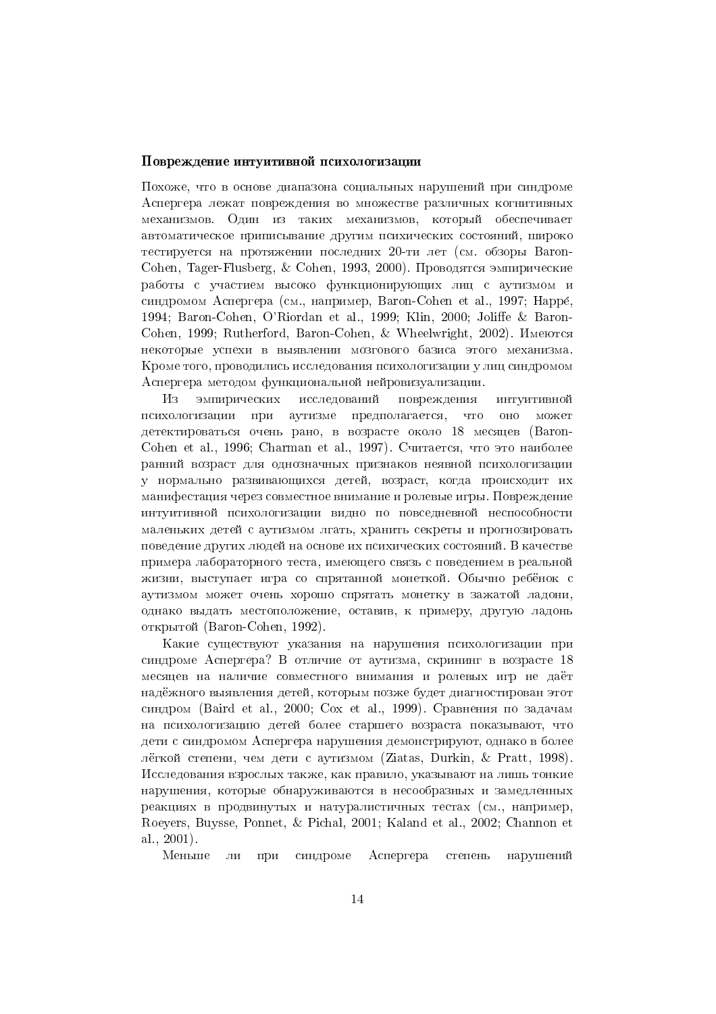#### Повреждение интуитивной психологизации

7)3-\* " - ( 1 ,) /-- (
-\$ - - -3 -3(- 3- - ") ! ) механизмов. Один из таких механизмов, который обеспечивает \* !- - "- !- - ( )"- !) -\* /! - - 3- -() 56 - 
& NEGP?6 TPLF?\* \E@FG6JUOYrFG@\* Q TPLF?\* \* 5& 7( "- !- " - ! !10) 1  $\mathcal{L}$  . The contract of the contract of the contract of the contract of the contract of the contract of the contract of the contract of the contract of the contract of the contract of the contract of the contract of th ( \$ - - 
&\* -\* NEGP?6TPLF? FK EU&\* R mEZZF\* 1994; Baron-Cohen, O'Riordan et al., 1999; Klin, 2000; Joliffe & Baron-Cohen, 1999; Rutherford, Baron-Cohen, & Wheelwright, 2002). Имеются . The contract of the contract of the contract of the contract of the contract of the contract of the contract of the contract of the contract of the contract of the contract of the contract of the contract of the contract :
- \* ( , -( ) 1 1 ( \$ - - -( !1 ,- -- 1. In the contract of the contract of the contract of the contract of the contract of the contract of the contract of the contract of the contract of the contract of the contract of the contract of the contract of the cont

Из исследований повреждения where the contract of the contract of the contract of the contract of the contract of the contract of the contract of the contract of the contract of the contract of the contract of the contract of the contract of the cont !) -- the contract of the contract of the contract of the contract of the contract of the contract of the contract o психологизации аутизме 1 -( - \* " 3-(--! , "-, \* - ! - 1negra de la construcción de la construcción de la construcción de la construcción de la construcción de la con TPLF? FK EU&\* %R TLEG]E? FK EU&\* & 2" - \* " -- - ( ( ") ! -- ) the contract of the contract of the contract of the contract of the contract of the contract of the contract of , 0) (---\* \* ! ( )( ) - 1 "-- 
- - - -- & 7-3(-- $\blacksquare$  -,!) (--- ,\* ) , -!- -(-- ( ) (-- - ) )"- !) -& + ! "- -- - \* -0- , -(-- жизни, выступает игра со спрятанной монеткой. Обычно ребёнок с  $\blacksquare$  . The set of the set of the set of the set of the set of the set of the set of the set of the set of the set of the set of the set of the set of the set of the set of the set of the set of the set of the set of the - (\* ( ! ( , - 3--\* \* ! -\* ( (, открытой (Baron-Cohen, 1992).

: !- 0- ! /- ) 1 (
- \$ - - c + "- \* ! -- 1- "- 
- -) -.- ( (.-3 - (---\* ! 3- (- $\sim$   $\mu$  , and  $\mu$  are set  $\mu$  and  $\mu$  are set  $\mu$  . The set of  $\mu$  $\mathcal{F}(\mathcal{M})$  . The first contract of  $\mathcal{F}(\mathcal{M})$  is the  $\mathcal{F}(\mathcal{M})$  . The  $\mathcal{F}(\mathcal{M})$  $\blacksquare$  . The contract of the contract of the contract of the contract of the contract of the contract of the contract of the contract of the contract of the contract of the contract of the contract of the contract of the \* " (- ( \$ - - /- (- \* ( -.- !- --\* "- (- >EKEY\* dOGo>?\* Q }GEKK\* & W -( ) !3-\* ! ! \* ! /-\* !- 3 - ) -(-- !1) () ") - ) 
&\* -\* Roeyers, Buysse, Ponnet, & Pichal, 2001; Kaland et al., 2002; Channon et EU ANN AN DEAL AN DEAL AN DEAL ANN AN DEAL AN DEAL AN DEAL AN DEAL AN DEAL AN DEAL AN DEAL AN DEAL AN DEAL AN

Меньше нарушений (
- \$ - - --, and the contract of the contract of the contract of the contract of the contract of the contract of the contract of the contract of the contract of the contract of the contract of the contract of the contract of the con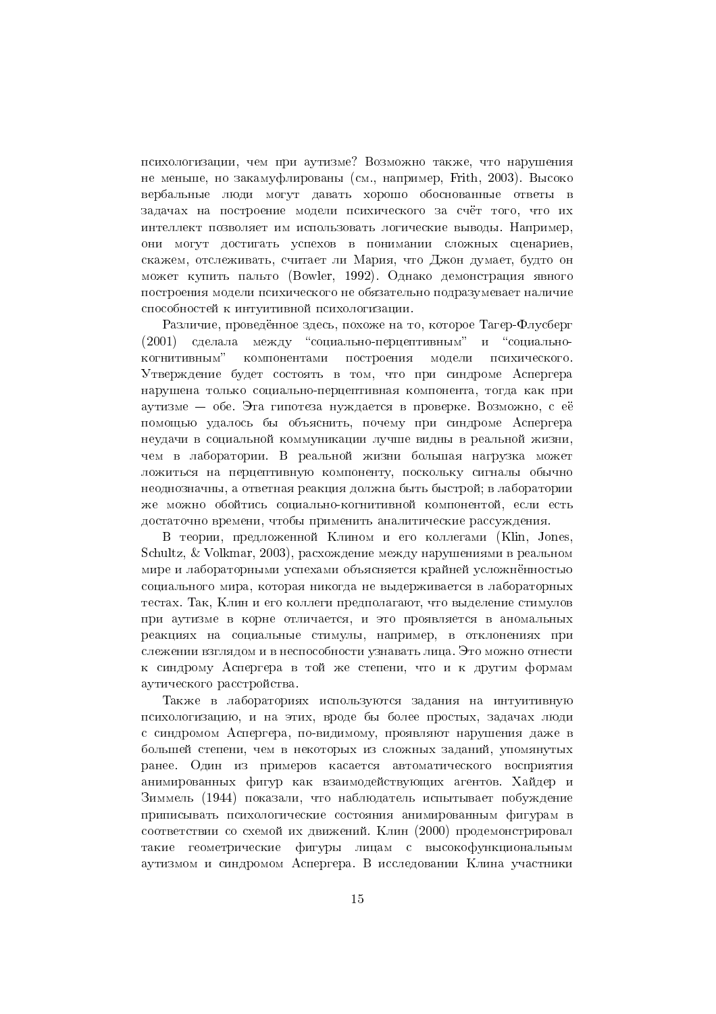психологизации, чем при аутизме? Возможно также, что нарушения не меньше, но закамуфлированы (см., например, Frith, 2003). Высоко вербальные люди могут давать хорошо обоснованные ответы в задачах на построение модели психического за счёт того, что их интеллект позволяет им использовать логические выводы. Например, они могут достигать успехов в понимании сложных сценариев, скажем, отслеживать, считает ли Мария, что Джон лумает, булто он может купить пальто (Bowler, 1992). Однако демонстрация явного построения модели психического не обязательно подразумевает наличие способностей к интуитивной психологизации.

Различие, проведённое здесь, похоже на то, которое Тагер-Флусберг (2001) сделала между "социально-перцептивным" и "социальнокогнитивным" компонентами построения модели психического. Утверждение будет состоять в том, что при синдроме Аспергера нарушена только социально-перцептивная компонента, тогда как при аутизме – обе. Эта гипотеза нуждается в проверке. Возможно, с её помощью удалось бы объяснить, почему при синдроме Аспергера неудачи в социальной коммуникации лучше видны в реальной жизни, чем в лаборатории. В реальной жизни большая нагрузка может ложиться на перцептивную компоненту, поскольку сигналы обычно неоднозначны, а ответная реакция должна быть быстрой; в лаборатории же можно обойтись социально-когнитивной компонентой, если есть достаточно времени, чтобы применить аналитические рассуждения.

В теории, предложенной Клином и его коллегами (Klin, Jones, Schultz, & Volkmar, 2003), расхождение между нарушениями в реальном мире и лабораторными успехами объясняется крайней усложнённостью социального мира, которая никогда не выдерживается в лабораторных тестах. Так, Клин и его коллеги предполагают, что выделение стимулов при аутизме в корне отличается, и это проявляется в аномальных реакциях на социальные стимулы, например, в отклонениях при слежении взглядом и в неспособности узнавать лица. Это можно отнести к синдрому Аспергера в той же степени, что и к другим формам аутического расстройства.

Также в лабораториях используются задания на интуитивную психологизацию, и на этих, вроде бы более простых, задачах люди с синдромом Аспергера, по-вилимому, проявляют нарушения лаже в большей степени, чем в некоторых из сложных заданий, упомянутых ранее. Один из примеров касается автоматического восприятия анимированных фигур как взаимодействующих агентов. Хайдер и Зиммель (1944) показали, что наблюдатель испытывает побуждение приписывать психологические состояния анимированным фигурам в соответствии со схемой их движений. Клин (2000) продемонстрировал такие геометрические фигуры лицам с высокофункциональным аутизмом и синдромом Аспергера. В исследовании Клина участники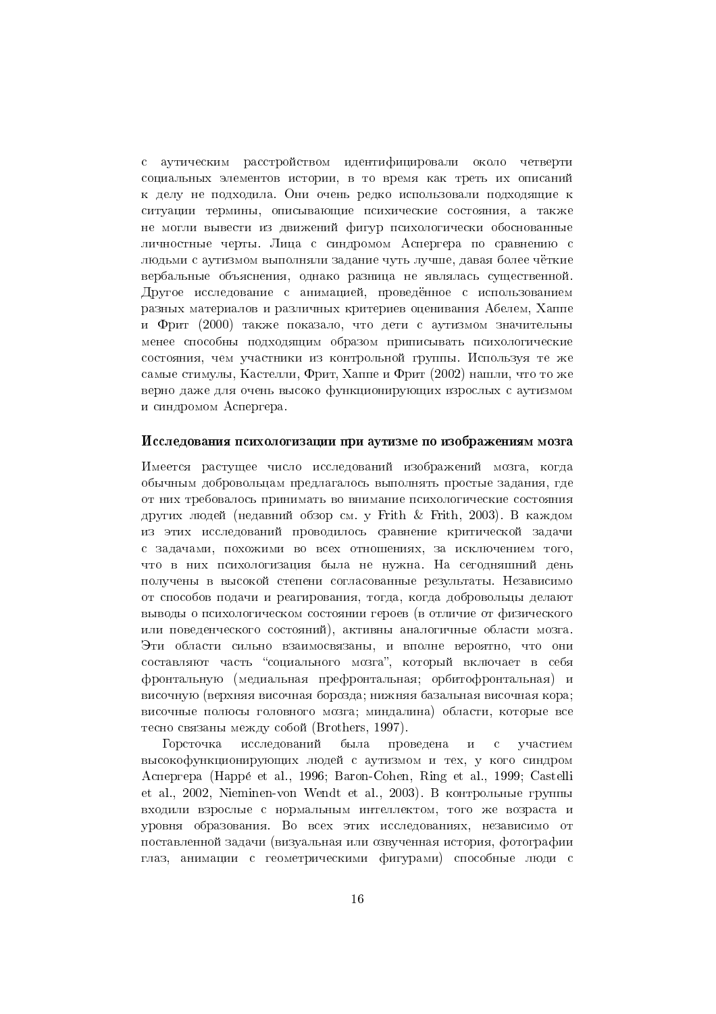аутическим расстройством идентифицировали около четверти  $\mathcal{C}$ социальных элементов истории, в то время как треть их описаний к делу не подходила. Они очень редко использовали подходящие к ситуации термины, описывающие психические состояния, а также не могли вывести из движений фигур психологически обоснованные личностные черты. Лица с синдромом Аспергера по сравнению с люльми с аутизмом выполняли залание чуть лучше, лавая более чёткие вербальные объяснения, однако разница не являлась существенной. Другое исследование с анимацией, проведённое с использованием разных материалов и различных критериев оценивания Абелем, Хаппе и Фрит (2000) также показало, что дети с аутизмом значительны менее способны подходящим образом приписывать психологические состояния, чем участники из контрольной группы. Используя те же самые стимулы, Кастелли, Фрит, Хаппе и Фрит (2002) нашли, что то же верно даже для очень высоко функционирующих взрослых с аутизмом и синдромом Аспергера.

#### Исследования психологизации при аутизме по изображениям мозга

Имеется растущее число исследований изображений мозга, когда обычным лобровольнам предлагалось выполнять простые задания, гле от них требовалось принимать во внимание психологические состояния других людей (недавний обзор см. у Frith & Frith, 2003). В каждом из этих исследований проводилось сравнение критической задачи с задачами, похожими во всех отношениях, за исключением того, что в них психологизация была не нужна. На сегодняшний день получены в высокой степени согласованные результаты. Независимо от способов подачи и реагирования, тогда, когда добровольцы делают выводы о психологическом состоянии героев (в отличие от физического или поведенческого состояний), активны аналогичные области мозга. Эти области сильно взаимосвязаны, и вполне вероятно, что они составляют часть "социального мозга", который включает в себя фронтальную (медиальная префронтальная; орбитофронтальная) и височную (верхняя височная борозда; нижняя базальная височная кора; височные полюсы головного мозга; миндалина) области, которые все тесно связаны между собой (Brothers, 1997).

Горсточка исследований была проведена  $\mathbf{M}$  $\rm c$ участием высокофункционирующих людей с аутизмом и тех, у кого синдром Acneprepa (Happé et al., 1996; Baron-Cohen, Ring et al., 1999; Castelli et al., 2002, Nieminen-von Wendt et al., 2003). В контрольные группы входили взрослые с нормальным интеллектом, того же возраста и уровня образования. Во всех этих исследованиях, независимо от поставленной задачи (визуальная или озвученная история, фотографии глаз, анимации с геометрическими фигурами) способные люди с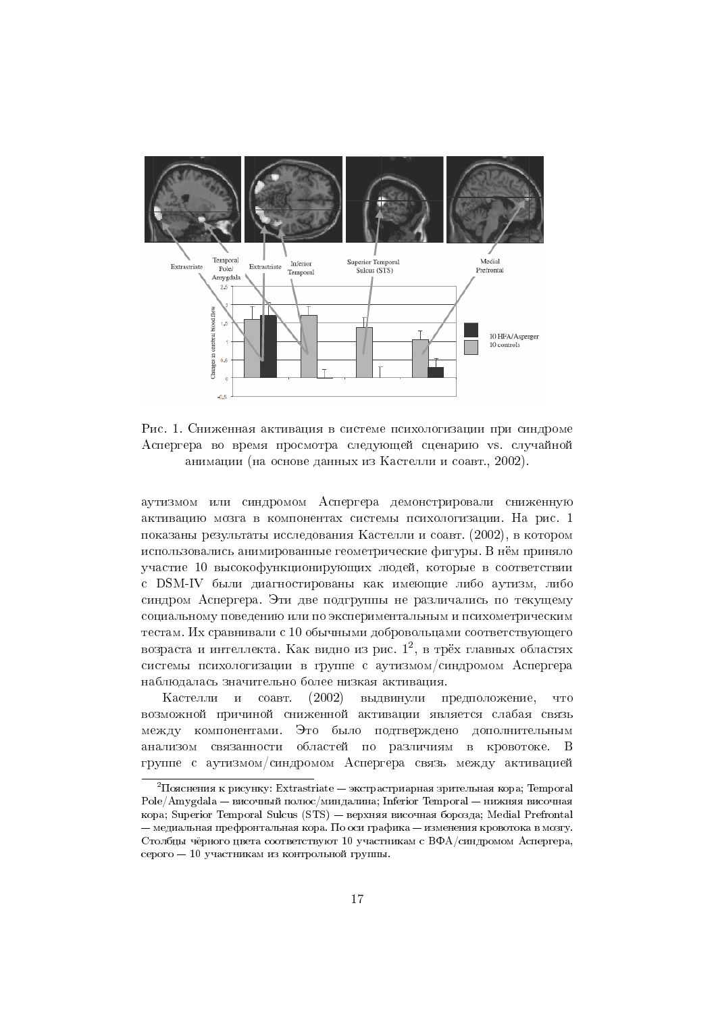

Рис. 1. Сниженная активация в системе психологизации при синдроме Аспергера во время просмотра следующей сценарию vs. случайной анимации (на основе данных из Кастелли и соавт., 2002).

аутизмом или синдромом Аспергера демонстрировали сниженную активацию мозга в компонентах системы психологизации. На рис. 1 показаны результаты исследования Кастелли и соавт. (2002), в котором использовались анимированные геометрические фигуры. В нём приняло участие 10 высокофункционирующих людей, которые в соответствии с DSM-IV были диагностированы как имеющие либо аутизм, либо синдром Аспергера. Эти две подгруппы не различались по текущему социальному поведению или по экспериментальным и психометрическим тестам. Их сравнивали с 10 обычными добровольцами соответствующего возраста и интеллекта. Как видно из рис.  $1^2$ , в трёх главных областях системы психологизации в группе с аутизмом/синдромом Аспергера наблюдалась значительно более низкая активация.

Кастелли и соавт.  $(2002)$ выдвинули предположение, **TTO** возможной причиной сниженной активации является слабая связь между компонентами. Это было подтверждено дополнительным анализом связанности областей по различиям в кровотоке. В группе с аутизмом/синдромом Аспергера связь между активацией

 $\rm{^2\Pi}$ ояснения к рисунку: Extrastriate — экстрастриарная зрительная кора; Temporal  $Pole/Amvedala - Bucoulli nonto/mumnamna$ ; Inferior Temporal — нижняя височная кора: Superior Temporal Sulcus (STS) — верхняя височная борозда: Medial Prefrontal – медиальная префронтальная кора. По оси графика – изменения кровотока в мозгу. Столбцы чёрного цвета соответствуют 10 участникам с ВФА/синдромом Аспергера, серого - 10 участникам из контрольной группы.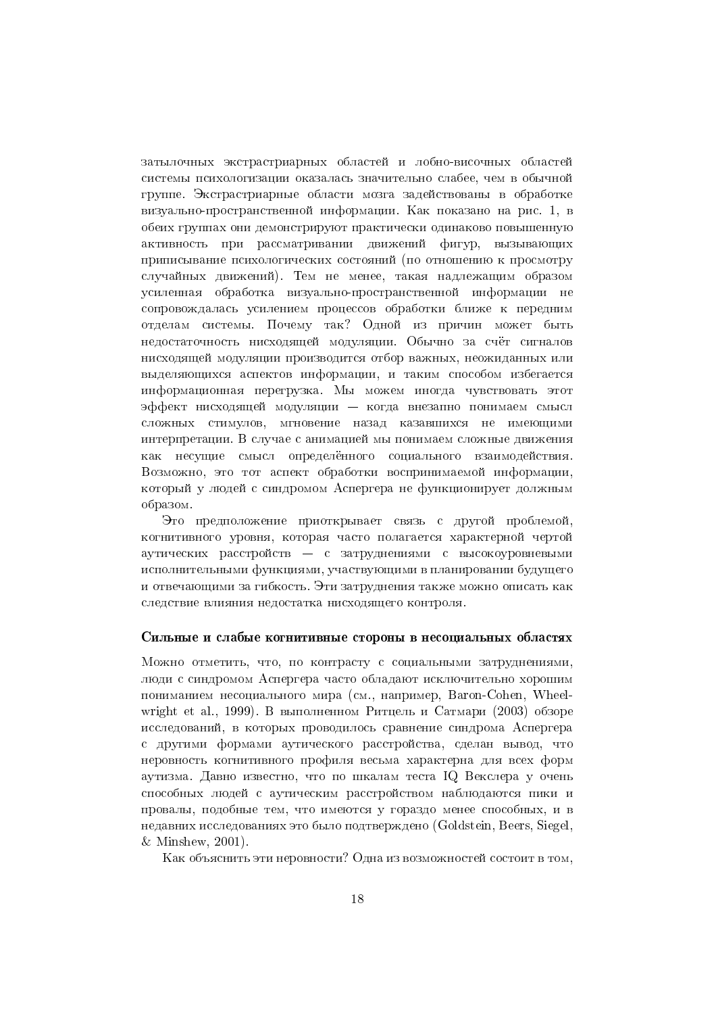затылочных экстрастриарных областей и лобно-височных областей системы психологизации оказалась значительно слабее, чем в обычной группе. Экстрастриарные области мозга задействованы в обработке визуально-пространственной информации. Как показано на рис. 1, в обеих группах они демонстрируют практически одинаково повышенную активность при рассматривании движений фигур, вызывающих приписывание психологических состояний (по отношению к просмотру случайных движений). Тем не менее, такая надлежащим образом усиленная обработка визуально-пространственной информации не сопровождалась усилением процессов обработки ближе к передним отделам системы. Почему так? Одной из причин может быть недостаточность нисходящей модуляции. Обычно за счёт сигналов нисходящей модуляции производится отбор важных, неожиданных или выделяющихся аспектов информации, и таким способом избегается информационная перегрузка. Мы можем иногда чувствовать этот эффект нисходящей модуляции - когда внезапно понимаем смысл сложных стимулов, мгновение назад казавшихся не имеющими интерпретации. В случае с анимацией мы понимаем сложные движения как несущие смысл определённого социального взаимодействия. Возможно, это тот аспект обработки воспринимаемой информации, который у людей с синдромом Аспергера не функционирует должным образом.

Это предположение приоткрывает связь с другой проблемой, когнитивного уровня, которая часто полагается характерной чертой аутических расстройств - с затруднениями с высокоуровневыми исполнительными функциями, участвующими в планировании будущего и отвечающими за гибкость. Эти затруднения также можно описать как следствие влияния недостатка нисходящего контроля.

#### Сильные и слабые когнитивные стороны в несоциальных областях

Можно отметить, что, по контрасту с социальными затруднениями, люди с синдромом Аспергера часто обладают исключительно хорошим пониманием несопиального мира (см., например, Baron-Cohen, Wheelwright et al., 1999). В выполненном Ритцель и Сатмари (2003) обзоре исследований, в которых проводилось сравнение синдрома Аспергера с другими формами аутического расстройства, сделан вывод, что неровность когнитивного профиля весьма характерна для всех форм аутизма. Давно известно, что по шкалам теста IQ Векслера у очень способных людей с аутическим расстройством наблюдаются пики и провалы, подобные тем, что имеются у гораздо менее способных, и в недавних исследованиях это было подтверждено (Goldstein, Beers, Siegel,  $&$  Minshew, 2001).

Как объяснить эти неровности? Одна из возможностей состоит в том.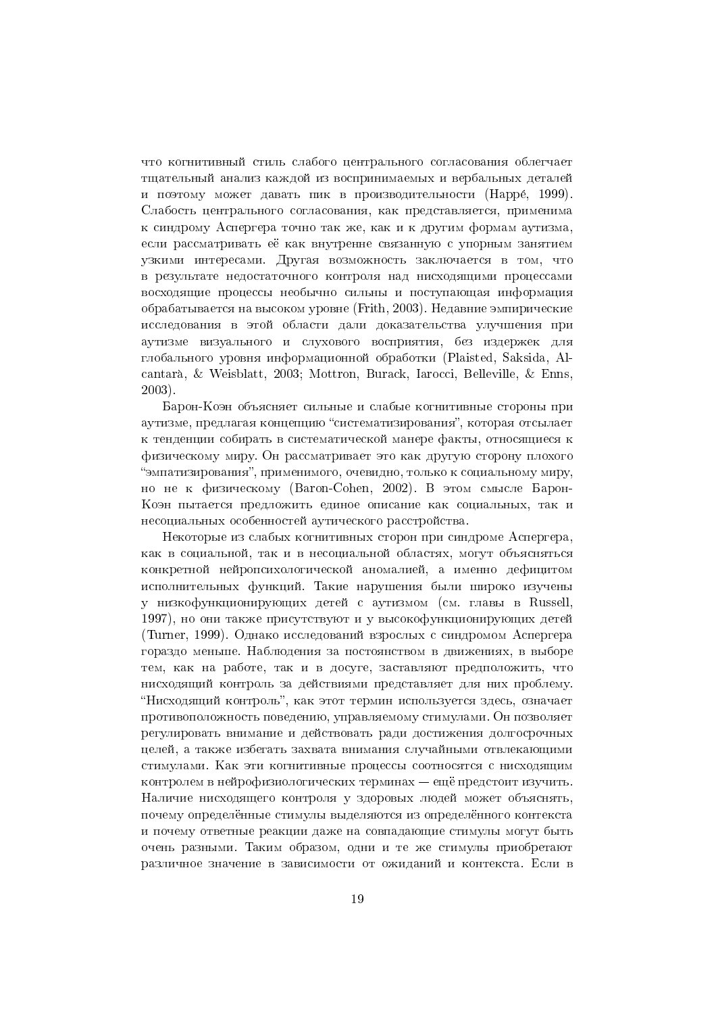тто когнитивный стиль слабого центрального согласования облегчает тщательный анализ каждой из воспринимаемых и вербальных деталей и поэтому может давать пик в производительности (Нарре, 1999). Слабость центрального согласования, как представляется, применима к синдрому Аспергера точно так же, как и к другим формам аутизма, если рассматривать её как внутренне связанную с упорным занятием узкими интересами. Лругая возможность заключается в том, что в результате недостаточного контроля над нисходящими процессами восходящие процессы необычно сильны и поступающая информация обрабатывается на высоком уровне (Frith, 2003). Недавние эмпирические исследования в этой области дали доказательства улучшения при аутизме визуального и слухового восприятия, без издержек для глобального уровня информационной обработки (Plaisted, Saksida, Alcantarà, & Weisblatt, 2003; Mottron, Burack, Iarocci, Belleville, & Enns,  $2003$ ).

Барон-Коэн объясняет сильные и слабые когнитивные стороны при аутизме, предлагая концепцию "систематизирования", которая отсылает к тенденции собирать в систематической манере факты, относящиеся к физическому миру. Он рассматривает это как другую сторону плохого "эмпатизирования", применимого, очевидно, только к социальному миру, но не к физическому (Baron-Cohen, 2002). В этом смысле Барон-Коэн пытается предложить единое описание как социальных, так и несоциальных особенностей аутического расстройства.

Некоторые из слабых когнитивных сторон при синдроме Аспергера. как в социальной, так и в несоциальной областях, могут объясняться конкретной нейропсихологической аномалией, а именно дефицитом исполнительных функций. Такие нарушения были широко изучены у низкофункционирующих детей с аутизмом (см. главы в Russell, 1997), но они также присутствуют и у высокофункционирующих детей (Turner, 1999). Однако исследований взрослых с синдромом Аспергера гораздо меньше. Наблюдения за постоянством в движениях, в выборе тем, как на работе, так и в досуге, заставляют предположить, что нисходящий контроль за действиями представляет для них проблему. "Нисходящий контроль", как этот термин используется здесь, означает противоположность поведению, управляемому стимулами. Он позволяет регулировать внимание и лействовать ради лостижения лолгосрочных целей, а также избегать захвата внимания случайными отвлекающими стимулами. Как эти когнитивные процессы соотносятся с нисходящим контролем в нейрофизиологических терминах - ещё предстоит изучить. Наличие нисходящего контроля у здоровых людей может объяснять, почему определённые стимулы выделяются из определённого контекста и почему ответные реакции даже на совпадающие стимулы могут быть очень разными. Таким образом, одни и те же стимулы приобретают различное значение в зависимости от ожиданий и контекста. Если в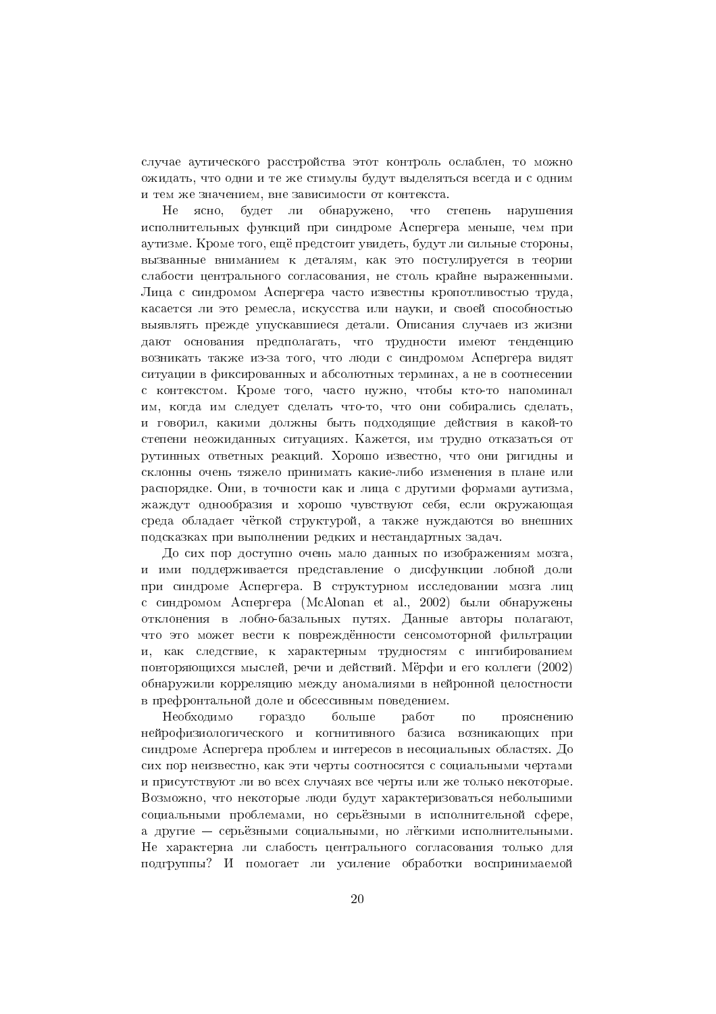случае аутического расстройства этот контроль ослаблен, то можно ожидать, что одни и те же стимулы будут выделяться всегда и с одним и тем же значением, вне зависимости от контекста.

будет ли обнаружено, He ясно, что степень нарушения исполнительных функций при синдроме Аспергера меньше, чем при аутизме. Кроме того, ещё предстоит увидеть, будут ли сильные стороны, вызванные вниманием к леталям, как это постулируется в теории слабости центрального согласования, не столь крайне выраженными. Лица с синдромом Аспергера часто известны кропотливостью труда, касается ли это ремесла, искусства или науки, и своей способностью выявлять прежде упускавшиеся детали. Описания случаев из жизни дают основания предполагать, что трудности имеют тенденцию возникать также из-за того, что люди с синдромом Аспергера видят ситуации в фиксированных и абсолютных терминах, а не в соотнесении с контекстом. Кроме того, часто нужно, чтобы кто-то напоминал им, когда им следует сделать что-то, что они собирались сделать, и говорил, какими должны быть подходящие действия в какой-то степени неожиданных ситуациях. Кажется, им трудно отказаться от рутинных ответных реакций. Хорошо известно, что они ригидны и склонны очень тяжело принимать какие-либо изменения в плане или распорядке. Они, в точности как и лица с другими формами аутизма, жаждут однообразия и хорошо чувствуют себя, если окружающая среда обладает чёткой структурой, а также нуждаются во внешних полсказках при выполнении редких и нестандартных задач.

До сих пор доступно очень мало данных по изображениям мозга, и ими поддерживается представление о дисфункции лобной доли при синдроме Аспергера. В структурном исследовании мозга лиц с синдромом Аспергера (McAlonan et al., 2002) были обнаружены отклонения в лобно-базальных путях. Данные авторы полагают, что это может вести к повреждённости сенсомоторной фильтрации и, как следствие, к характерным трудностям с ингибированием повторяющихся мыслей, речи и действий. Мёрфи и его коллеги (2002) обнаружили корреляцию между аномалиями в нейронной целостности в префронтальной доле и обсессивным поведением.

Необходимо гораздо больше прояснению работ  $\overline{10}$ нейрофизиологического и когнитивного базиса возникающих при синдроме Аспергера проблем и интересов в несоциальных областях. До сих пор неизвестно, как эти черты соотносятся с социальными чертами и присутствуют ли во всех случаях все черты или же только некоторые. Возможно, что некоторые люди будут характеризоваться небольшими социальными проблемами, но серьёзными в исполнительной сфере, а другие — серьёзными социальными, но лёгкими исполнительными. Не характерна ли слабость центрального согласования только для подгруппы? И помогает ли усиление обработки воспринимаемой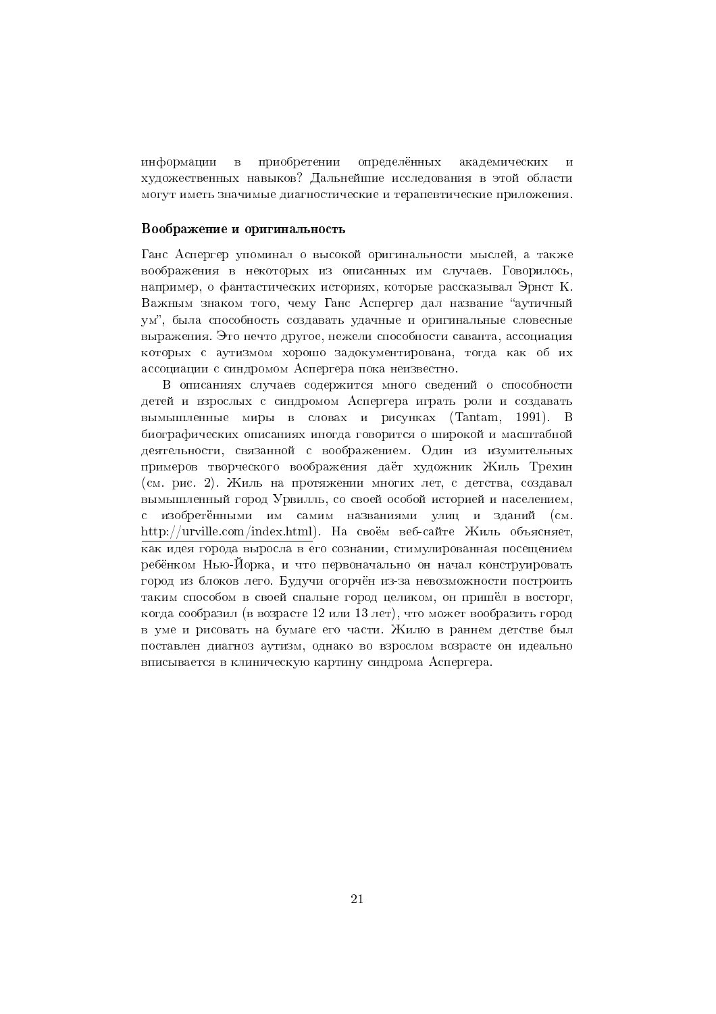информации  $\mathbf{B}$ приобретении определённых академических художественных навыков? Дальнейшие исследования в этой области могут иметь значимые диагностические и терапевтические приложения.

# Воображение и оригинальность

Ганс Аспергер упоминал о высокой оригинальности мыслей, а также воображения в некоторых из описанных им случаев. Говорилось, например, о фантастических историях, которые рассказывал Эрнст К. Важным знаком того, чему Ганс Аспергер дал название "аутичный ум", была способность создавать удачные и оригинальные словесные выражения. Это нечто другое, нежели способности саванта, ассоциация которых с аутизмом хорошо задокументирована, тогда как об их ассоциации с синдромом Аспергера пока неизвестно.

В описаниях случаев содержится много сведений о способности детей и взрослых с синдромом Аспергера играть роли и создавать вымышленные миры в словах и рисунках (Tantam, 1991). В биографических описаниях иногда говорится о широкой и масштабной деятельности, связанной с воображением. Один из изумительных примеров творческого воображения даёт художник Жиль Трехин (см. рис. 2). Жиль на протяжении многих лет, с летства, создавал вымышленный город Урвилль, со своей особой историей и населением, с изобретёнными им самим названиями улиц и зданий  $(c_M)$ http://urville.com/index.html). На своём веб-сайте Жиль объясняет, как идея города выросла в его сознании, стимулированная посещением ребёнком Нью-Йорка, и что первоначально он начал конструировать город из блоков лего. Будучи огорчён из-за невозможности построить таким способом в своей спальне город целиком, он пришёл в восторг, когда сообразил (в возрасте 12 или 13 лет), что может вообразить город в уме и рисовать на бумаге его части. Жилю в раннем детстве был поставлен диагноз аутизм, однако во взрослом возрасте он идеально вписывается в клиническую картину синдрома Аспергера.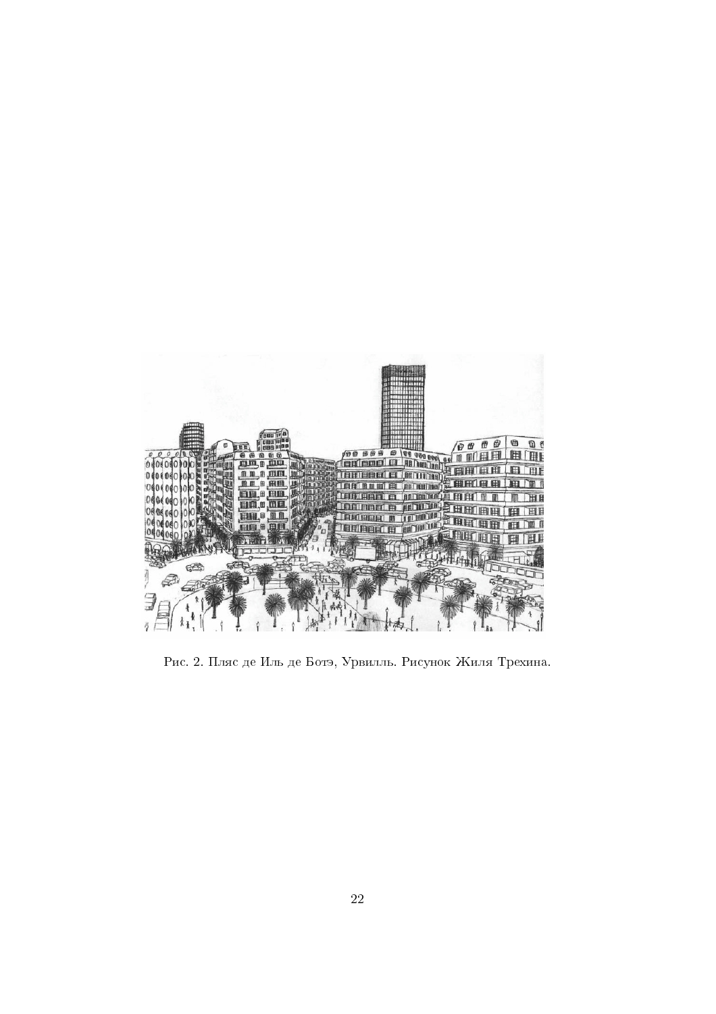

Рис. 2. Пляс де Иль де Ботэ, Урвилль. Рисунок Жиля Трехина.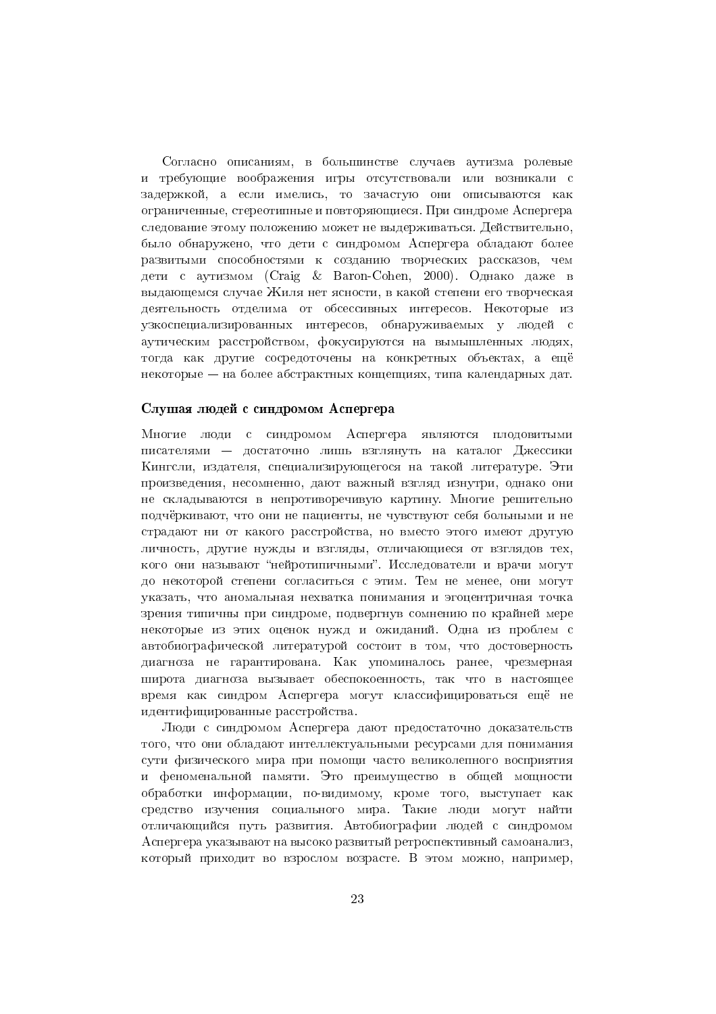Согласно описаниям, в большинстве случаев аутизма ролевые и требующие воображения игры отсутствовали или возникали с задержкой, а если имелись, то зачастую они описываются как ограниченные, стереотипные и повторяющиеся. При синдроме Аспергера следование этому положению может не выдерживаться. Действительно, было обнаружено, что дети с синдромом Аспергера обладают более развитыми способностями к созданию творческих рассказов, чем дети с аутизмом (Craig & Baron-Cohen, 2000). Однако даже в выдающемся случае Жиля нет ясности, в какой степени его творческая деятельность отделима от обсессивных интересов. Некоторые из узкоспециализированных интересов, обнаруживаемых у людей с аутическим расстройством, фокусируются на вымышленных людях, тогда как другие сосредоточены на конкретных объектах, а ещё некоторые — на более абстрактных концепциях, типа календарных дат.

#### Слушая людей с синдромом Аспергера

люди с синдромом Аспергера являются плодовитыми Многие писателями - достаточно лишь взглянуть на каталог Джессики Кингсли, издателя, специализирующегося на такой литературе. Эти произвеления, несомненно, лают важный взглял изнутри, олнако они не складываются в непротиворечивую картину. Многие решительно подчёркивают, что они не пациенты, не чувствуют себя больными и не страдают ни от какого расстройства, но вместо этого имеют другую личность, другие нужды и взгляды, отличающиеся от взглядов тех, кого они называют "нейротипичными". Исследователи и врачи могут до некоторой степени согласиться с этим. Тем не менее, они могут указать, что аномальная нехватка понимания и эгоцентричная точка зрения типичны при синдроме, подвергнув сомнению по крайней мере некоторые из этих оценок нужд и ожиданий. Одна из проблем с автобиографической литературой состоит в том, что достоверность диагноза не гарантирована. Как упоминалось ранее, чрезмерная широта диагноза вызывает обеспокоенность, так что в настоящее время как синдром Аспергера могут классифицироваться ещё не идентифицированные расстройства.

Люди с синдромом Аспергера дают предостаточно доказательств того, что они обладают интеллектуальными ресурсами для понимания сути физического мира при помощи часто великолепного восприятия и феноменальной памяти. Это преимущество в общей мощности обработки информации, по-видимому, кроме того, выступает как средство изучения социального мира. Такие люди могут найти отличающийся путь развития. Автобиографии людей с синдромом Аспергера указывают на высоко развитый ретроспективный самоанализ, который приходит во взрослом возрасте. В этом можно, например,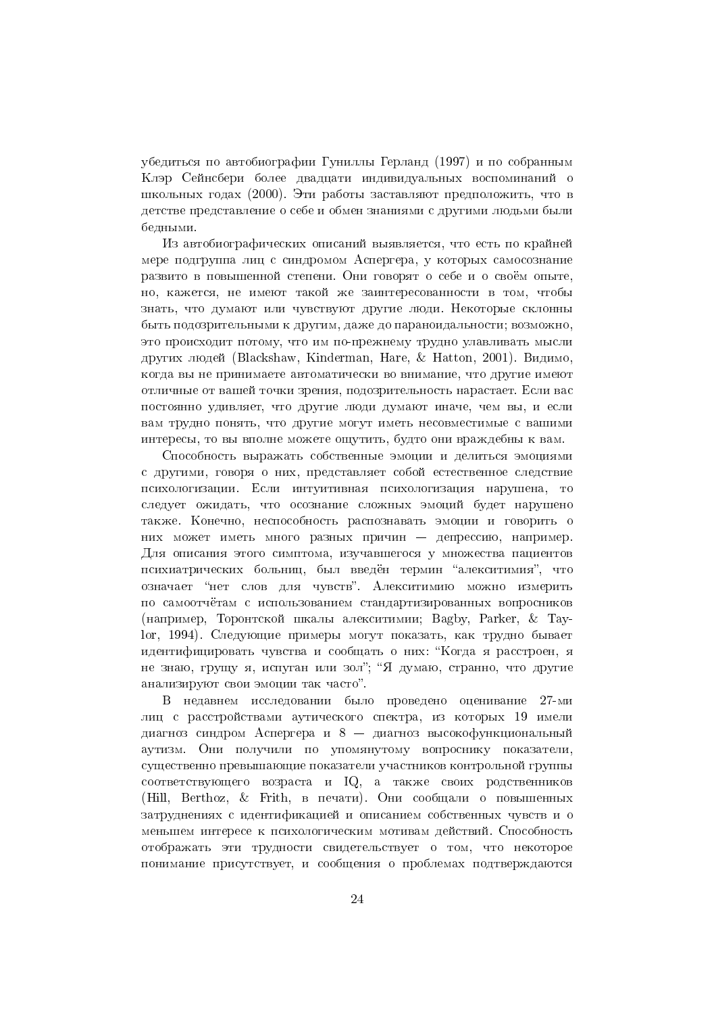убедиться по автобиографии Гуниллы Герланд (1997) и по собранным Клэр Сейнсбери более двадцати индивидуальных воспоминаний о школьных годах (2000). Эти работы заставляют предположить, что в детстве представление о себе и обмен знаниями с другими людьми были бедными.

Из автобиографических описаний выявляется, что есть по крайней мере полгруппа лиц с синдромом Аспергера, у которых самосознание развито в повышенной степени. Они говорят о себе и о своём опыте, но, кажется, не имеют такой же заинтересованности в том, чтобы знать, что думают или чувствуют другие люди. Некоторые склонны быть подозрительными к другим, даже до параноидальности; возможно, это происходит потому, что им по-прежнему трудно улавливать мысли других людей (Blackshaw, Kinderman, Hare, & Hatton, 2001). Видимо, когда вы не принимаете автоматически во внимание, что другие имеют отличные от вашей точки зрения, подозрительность нарастает. Если вас постоянно удивляет, что другие люди думают иначе, чем вы, и если вам трудно понять, что другие могут иметь несовместимые с вашими интересы, то вы вполне можете ощутить, будто они враждебны к вам.

Способность выражать собственные эмоции и делиться эмоциями с другими, говоря о них, представляет собой естественное следствие психологизации. Если интуитивная психологизация нарушена, то следует ожидать, что осознание сложных эмоций будет нарушено также. Конечно, неспособность распознавать эмоции и говорить о них может иметь много разных причин — лепрессию, например. Для описания этого симптома, изучавшегося у множества пациентов психиатрических больниц, был введён термин "алекситимия", что означает "нет слов для чувств". Алекситимию можно измерить по самоотчётам с использованием стандартизированных вопросников (например, Торонтской шкалы алекситимии; Bagby, Parker, & Tayюг, 1994). Следующие примеры могут показать, как трудно бывает идентифицировать чувства и сообщать о них: "Когда я расстроен, я не знаю, грушу я, испуган или зол"; "Я думаю, странно, что другие анализируют свои эмоции так часто".

В недавнем исследовании было проведено оценивание 27-ми лиц с расстройствами аутического спектра, из которых 19 имели лиагноз синдром Аспергера и  $8 -$ лиагноз высокофункциональный аутизм. Они получили по упомянутому вопроснику показатели, существенно превышающие показатели участников контрольной группы соответствующего возраста и IQ, а также своих родственников (Hill, Berthoz, & Frith, в печати). Они сообщали о повышенных затруднениях с идентификацией и описанием собственных чувств и о меньшем интересе к психологическим мотивам действий. Способность отображать эти трудности свидетельствует о том, что некоторое понимание присутствует, и сообщения о проблемах подтверждаются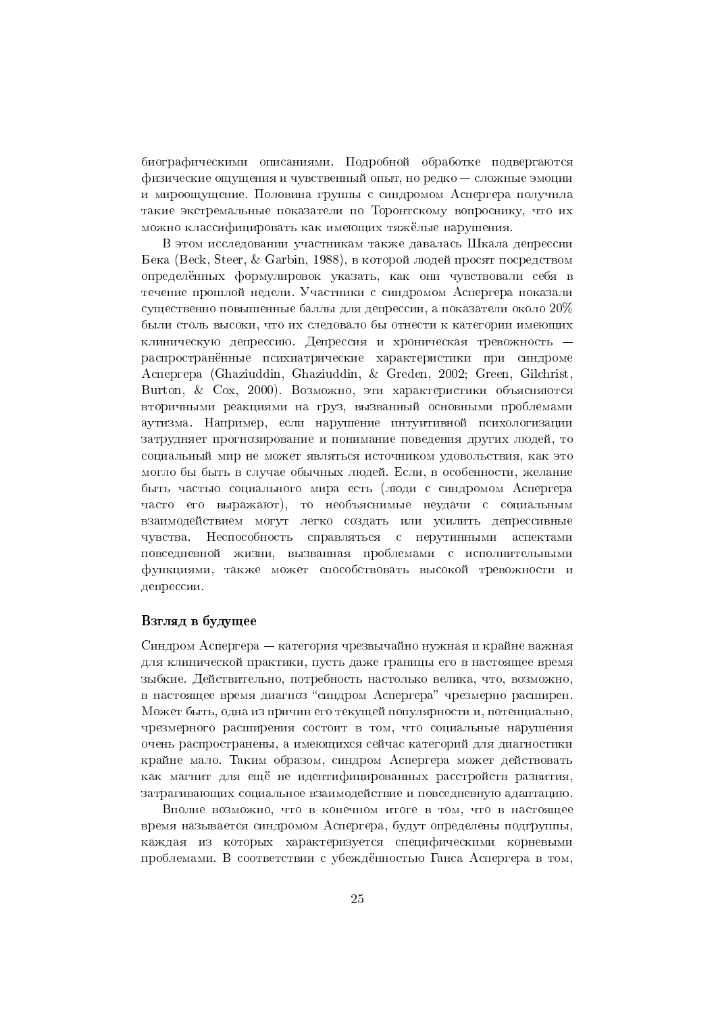биографическими описаниями. Подробной обработке подвергаются физические ощущения и чувственный опыт, но редко - сложные эмоции и мироощущение. Половина группы с синдромом Аспергера получила такие экстремальные показатели по Торонтскому вопроснику, что их можно классифицировать как имеющих тяжёлые нарушения.

В этом исследовании участникам также давалась Шкала депрессии Бека (Beck, Steer, & Garbin, 1988), в которой людей просят посредством определённых формулировок указать, как они чувствовали себя в течение прошлой недели. Участники с синдромом Аспергера показали существенно повышенные баллы для депрессии, а показатели около  $20\%$ были столь высоки, что их следовало бы отнести к категории имеющих клиническую депрессию. Депрессия и хроническая тревожность распространённые психиатрические характеристики при синдроме Аспергера (Ghaziuddin, Ghaziuddin, & Greden, 2002; Green, Gilchrist, Burton, & Cox, 2000). Возможно, эти характеристики объясняются вторичными реакциями на груз, вызванный основными проблемами аутизма. Например, если нарушение интуитивной психологизации затрудняет прогнозирование и понимание поведения других людей, то социальный мир не может являться источником удовольствия, как это могло бы быть в случае обычных людей. Если, в особенности, желание быть частью социального мира есть (люди с синдромом Аспергера часто его выражают), то необъяснимые неудачи с социальным взаимодействием могут легко создать или усилить депрессивные чувства. Неспособность справляться с нерутинными аспектами повседневной жизни, вызванная проблемами с исполнительными функциями, также может способствовать высокой тревожности и депрессии.

# Взгляд в будущее

Синдром Аспергера – категория чрезвычайно нужная и крайне важная для клинической практики, пусть даже границы его в настоящее время зыбкие. Действительно, потребность настолько велика, что, возможно, в настоящее время диагноз "синдром Аспергера" чрезмерно расширен. Может быть, одна из причин его текущей популярности и, потенциально, чрезмерного расширения состоит в том, что социальные нарушения очень распространены, а имеющихся сейчас категорий для диагностики крайне мало. Таким образом, синдром Аспергера может действовать как магнит для ещё не идентифицированных расстройств развития, затрагивающих социальное взаимодействие и повседневную адаптацию.

Вполне возможно, что в конечном итоге в том, что в настоящее время называется синдромом Аспергера, будут определены подгруппы, каждая из которых характеризуется специфическими корневыми проблемами. В соответствии с убеждённостью Ганса Аспергера в том,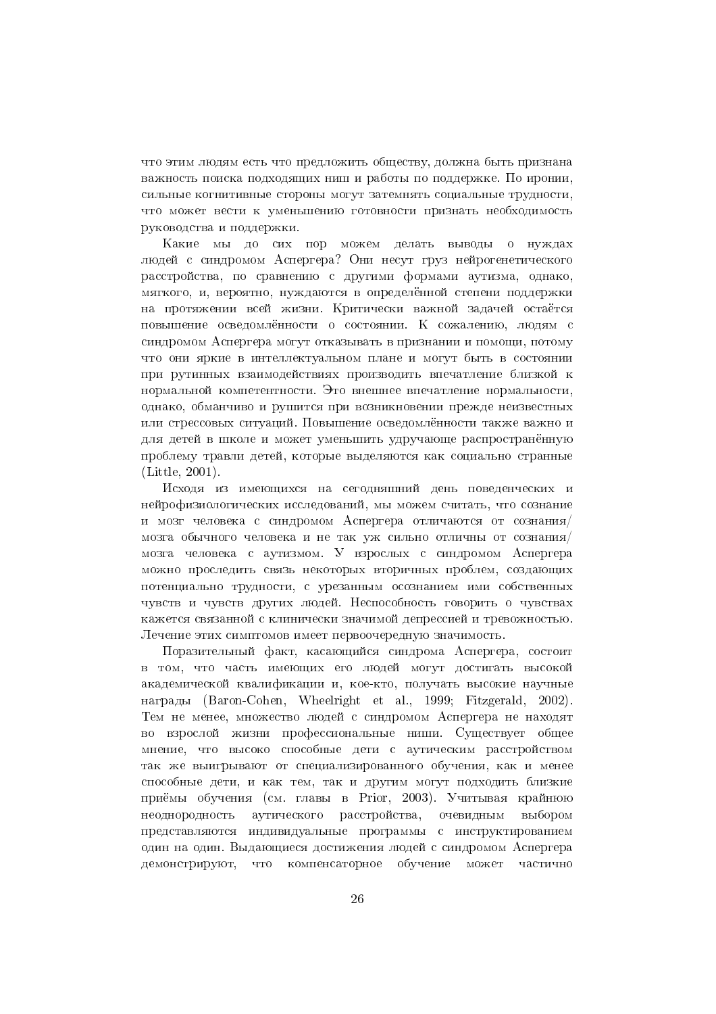что этим людям есть что предложить обществу, должна быть признана важность поиска подходящих ниш и работы по поддержке. По иронии, сильные когнитивные стороны могут затемнять социальные трудности, что может вести к уменьшению готовности признать необходимость руководства и поддержки.

Какие мы до сих пор можем делать выводы о нуждах люлей с синдромом Аспергера? Они несут груз нейрогенетического расстройства, по сравнению с другими формами аутизма, однако, мягкого, и, вероятно, нуждаются в определённой степени поддержки на протяжении всей жизни. Критически важной задачей остаётся повышение осведомлённости о состоянии. К сожалению, людям с синдромом Аспергера могут отказывать в признании и помощи, потому что они яркие в интеллектуальном плане и могут быть в состоянии при рутинных взаимодействиях производить впечатление близкой к нормальной компетентности. Это внешнее впечатление нормальности, однако, обманчиво и рушится при возникновении прежде неизвестных или стрессовых ситуаций. Повышение осведомлённости также важно и для детей в школе и может уменьшить удручающе распространённую проблему травли детей, которые выделяются как социально странные  $(Little, 2001).$ 

Исходя из имеющихся на сегодняшний день поведенческих и нейрофизиологических исследований, мы можем считать, что сознание и мозг человека с синдромом Аспергера отличаются от сознания/ мозга обычного человека и не так уж сильно отличны от сознания/ мозга человека с аутизмом. У взрослых с синдромом Аспергера можно проследить связь некоторых вторичных проблем, создающих потенциально трудности, с урезанным осознанием ими собственных чувств и чувств других людей. Неспособность говорить о чувствах кажется связанной с клинически значимой депрессией и тревожностью. Лечение этих симптомов имеет первоочередную значимость.

Поразительный факт, касающийся синдрома Аспергера, состоит в том, что часть имеющих его людей могут достигать высокой академической квалификации и, кое-кто, получать высокие научные награды (Baron-Cohen, Wheelright et al., 1999; Fitzgerald, 2002). Тем не менее, множество людей с синдромом Аспергера не находят во взрослой жизни профессиональные ниши. Существует общее мнение, что высоко способные дети с аутическим расстройством так же выигрывают от специализированного обучения, как и менее способные дети, и как тем, так и другим могут подходить близкие приёмы обучения (см. главы в Prior, 2003). Учитывая крайнюю аутического расстройства, неоднородность очевидным выбором представляются индивидуальные программы с инструктированием один на один. Выдающиеся достижения людей с синдромом Аспергера компенсаторное обучение может демонстрируют, **TP** частично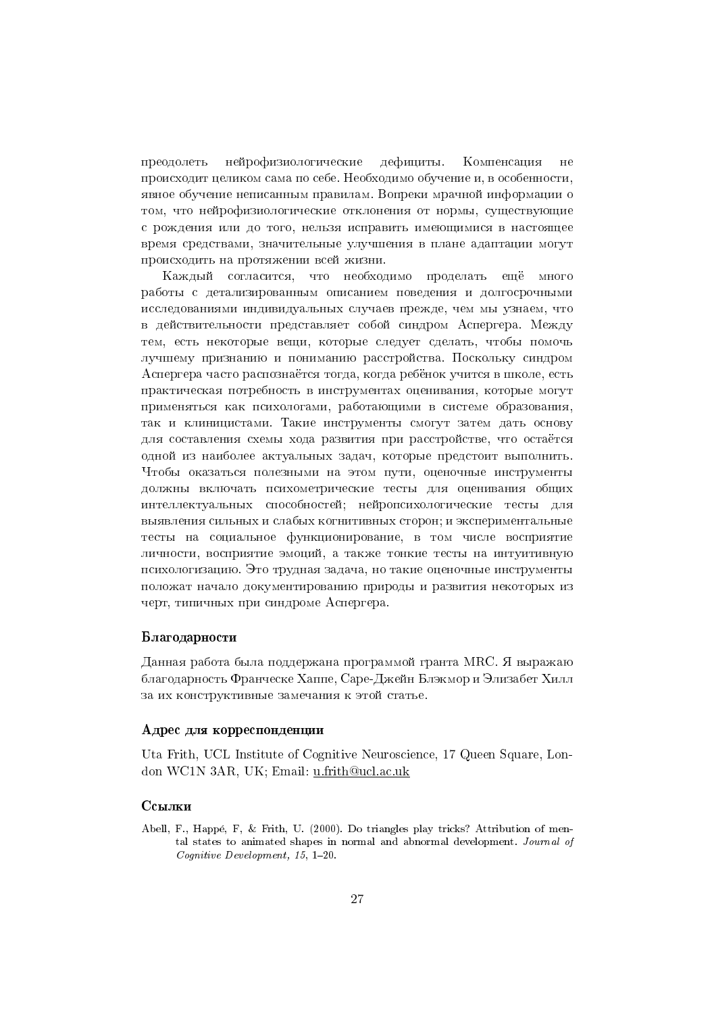нейрофизиологические дефициты. Компенсация преодолеть  $He$ происходит целиком сама по себе. Необходимо обучение и, в особенности, явное обучение неписанным правилам. Вопреки мрачной информации о том, что нейрофизиологические отклонения от нормы, существующие с рождения или до того, нельзя исправить имеющимися в настоящее время средствами, значительные улучшения в плане адаптации могут происходить на протяжении всей жизни.

Каждый согласится, что необходимо проделать ещё много работы с детализированным описанием поведения и долгосрочными исследованиями индивидуальных случаев прежде, чем мы узнаем, что в действительности представляет собой синдром Аспергера. Между тем, есть некоторые вещи, которые следует сделать, чтобы помочь лучшему признанию и пониманию расстройства. Поскольку синдром Аспергера часто распознаётся тогда, когда ребёнок учится в школе, есть практическая потребность в инструментах оценивания, которые могут применяться как психологами, работающими в системе образования, так и клиницистами. Такие инструменты смогут затем дать основу для составления схемы хода развития при расстройстве, что остаётся одной из наиболее актуальных задач, которые предстоит выполнить. Чтобы оказаться полезными на этом пути, оценочные инструменты должны включать психометрические тесты для оценивания общих интеллектуальных способностей; нейропсихологические тесты для выявления сильных и слабых когнитивных сторон; и экспериментальные тесты на социальное функционирование, в том числе восприятие личности, восприятие эмоций, а также тонкие тесты на интуитивную психологизацию. Это трудная задача, но такие оценочные инструменты положат начало документированию природы и развития некоторых из черт, типичных при синдроме Аспергера.

### Благодарности

Данная работа была поддержана программой гранта МRC. Я выражаю благодарность Франческе Хаппе, Саре-Джейн Блэкмор и Элизабет Хилл за их конструктивные замечания к этой статье.

### Адрес для корреспонденции

Uta Frith, UCL Institute of Cognitive Neuroscience, 17 Queen Square, London WC1N 3AR, UK; Email: u.frith@ucl.ac.uk

### Ссылки

Abell, F., Happé, F. & Frith, U. (2000). Do triangles play tricks? Attribution of mental states to animated shapes in normal and abnormal development. Journal of  $\textit{Coanitive Development}, 15, 1-20.$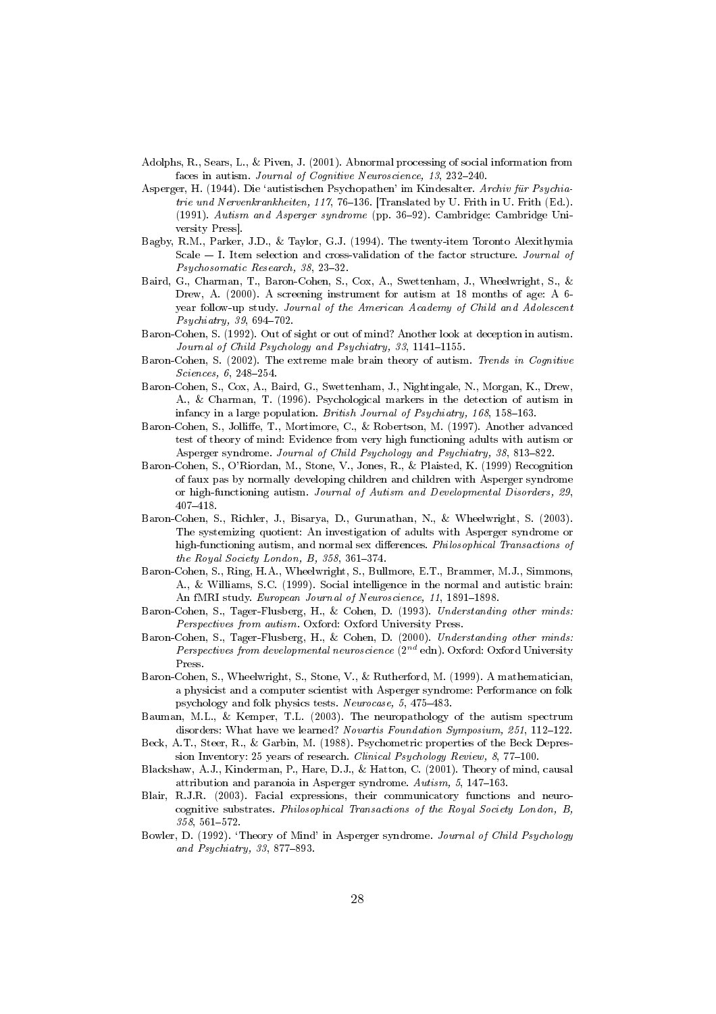- Adolphs, R., Sears, L., & Piven, J. (2001). Abnormal processing of social information from faces in autism. Journal of Cognitive Neuroscience, 13, 232-240.
- Asperger, H. (1944). Die 'autistischen Psychopathen' im Kindesalter. Archiv für Psychiatrie und Nervenkrankheiten, 117, 76-136. [Translated by U. Frith in U. Frith (Ed.). (1991). Autism and Asperger syndrome (pp. 36-92). Cambridge: Cambridge University Press].
- Bagby, R.M., Parker, J.D., & Taylor, G.J. (1994). The twenty-item Toronto Alexithymia Scale  $-$  I. Item selection and cross-validation of the factor structure. Journal of Psychosomatic Research, 38, 23-32.
- Baird, G., Charman, T., Baron-Cohen, S., Cox, A., Swettenham, J., Wheelwright, S., & Drew, A. (2000). A screening instrument for autism at 18 months of age: A 6year follow-up study. Journal of the American Academy of Child and Adolescent Psychiatry, 39, 694-702.
- Baron-Cohen, S. (1992). Out of sight or out of mind? Another look at deception in autism. Journal of Child Psychology and Psychiatry, 33, 1141-1155.
- Baron-Cohen, S. (2002). The extreme male brain theory of autism. Trends in Cognitive Sciences, 6, 248-254.
- Baron-Cohen, S., Cox, A., Baird, G., Swettenham, J., Nightingale, N., Morgan, K., Drew, A., & Charman, T. (1996). Psychological markers in the detection of autism in infancy in a large population. British Journal of Psychiatry, 168, 158-163.
- Baron-Cohen, S., Jolliffe, T., Mortimore, C., & Robertson, M. (1997). Another advanced test of theory of mind: Evidence from very high functioning adults with autism or Asperger syndrome. Journal of Child Psychology and Psychiatry, 38, 813-822.
- Baron-Cohen, S., O'Riordan, M., Stone, V., Jones, R., & Plaisted, K. (1999) Recognition of faux pas by normally developing children and children with Asperger syndrome or high-functioning autism. Journal of Autism and Developmental Disorders, 29,  $407 - 418.$
- Baron-Cohen, S., Richler, J., Bisarya, D., Gurunathan, N., & Wheelwright, S. (2003). The systemizing quotient: An investigation of adults with Asperger syndrome or high-functioning autism, and normal sex differences. Philosophical Transactions of the Royal Society London, B,  $358$ ,  $361-374$ .
- Baron-Cohen, S., Ring, H.A., Wheelwright, S., Bullmore, E.T., Brammer, M.J., Simmons, A., & Williams, S.C. (1999). Social intelligence in the normal and autistic brain: An fMRI study. European Journal of Neuroscience, 11, 1891-1898.
- Baron-Cohen, S., Tager-Flusberg, H., & Cohen, D. (1993). Understanding other minds: Perspectives from autism. Oxford: Oxford University Press.
- Baron-Cohen, S., Tager-Flusberg, H., & Cohen, D. (2000). Understanding other minds: Perspectives from developmental neuroscience  $(2^{nd}$  edn). Oxford: Oxford University Press.
- Baron-Cohen, S., Wheelwright, S., Stone, V., & Rutherford, M. (1999). A mathematician, a physicist and a computer scientist with Asperger syndrome: Performance on folk psychology and folk physics tests. Neurocase, 5, 475-483.
- Bauman, M.L., & Kemper, T.L. (2003). The neuropathology of the autism spectrum disorders: What have we learned? Novartis Foundation Symposium, 251, 112-122.
- Beck, A.T., Steer, R., & Garbin, M. (1988). Psychometric properties of the Beck Depression Inventory: 25 years of research. Clinical Psychology Review, 8, 77-100.
- Blackshaw, A.J., Kinderman, P., Hare, D.J., & Hatton, C. (2001). Theory of mind, causal attribution and paranoia in Asperger syndrome. Autism, 5, 147-163.
- Blair, R.J.R. (2003). Facial expressions, their communicatory functions and neurocognitive substrates. Philosophical Transactions of the Royal Society London, B, 358, 561-572.
- Bowler, D. (1992). 'Theory of Mind' in Asperger syndrome. Journal of Child Psychology and Psychiatry, 33, 877-893.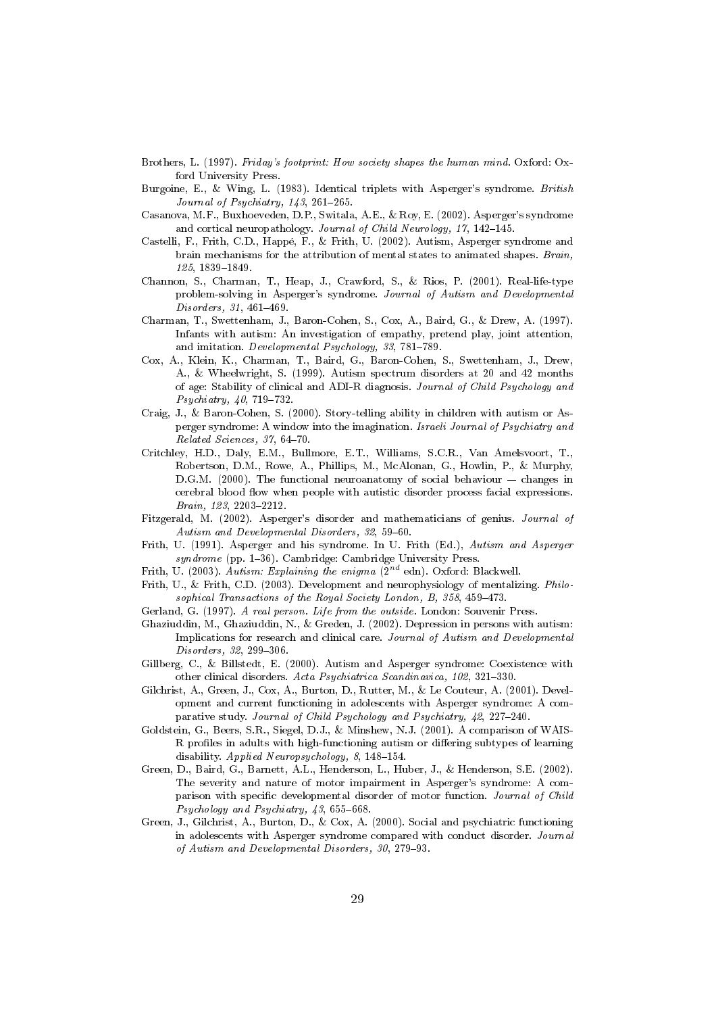- Brothers, L. (1997). Friday's footprint: How society shapes the human mind. Oxford: Oxford University Press.
- Burgoine, E., & Wing, L. (1983). Identical triplets with Asperger's syndrome. British Journal of Psychiatry, 143, 261-265.
- Casanova, M.F., Buxhoeveden, D.P., Switala, A.E., & Roy, E. (2002). Asperger's syndrome and cortical neuropathology. Journal of Child Neurology, 17, 142-145.
- Castelli, F., Frith, C.D., Happé, F., & Frith, U. (2002). Autism, Asperger syndrome and brain mechanisms for the attribution of mental states to animated shapes. Brain, 125, 1839-1849.
- Channon, S., Charman, T., Heap, J., Crawford, S., & Rios, P. (2001). Real-life-type problem-solving in Asperger's syndrome. Journal of Autism and Developmental Disorders, 31, 461-469.
- Charman, T., Swettenham, J., Baron-Cohen, S., Cox, A., Baird, G., & Drew, A. (1997). Infants with autism: An investigation of empathy, pretend play, joint attention, and imitation. Developmental Psychology, 33, 781-789.
- Cox, A., Klein, K., Charman, T., Baird, G., Baron-Cohen, S., Swettenham, J., Drew, A., & Wheelwright, S. (1999). Autism spectrum disorders at 20 and 42 months of age: Stability of clinical and ADI-R diagnosis. Journal of Child Psychology and  $Psychiatry, 40, 719-732.$
- Craig, J., & Baron-Cohen, S. (2000). Story-telling ability in children with autism or Asperger syndrome: A window into the imagination. Israeli Journal of Psychiatry and Related Sciences, 37, 64-70.
- Critchley, H.D., Daly, E.M., Bullmore, E.T., Williams, S.C.R., Van Amelsvoort, T., Robertson, D.M., Rowe, A., Phillips, M., McAlonan, G., Howlin, P., & Murphy, D.G.M. (2000). The functional neuroanatomy of social behaviour  $-$  changes in cerebral blood flow when people with autistic disorder process facial expressions. Brain, 123, 2203-2212.
- Fitzgerald, M. (2002). Asperger's disorder and mathematicians of genius. Journal of Autism and Developmental Disorders, 32, 59-60.
- Frith, U. (1991). Asperger and his syndrome. In U. Frith (Ed.), Autism and Asperger syndrome (pp. 1-36). Cambridge: Cambridge University Press.
- Frith, U. (2003). Autism: Explaining the enigma  $(2^{nd}$  edn). Oxford: Blackwell.
- Frith, U., & Frith, C.D. (2003). Development and neurophysiology of mentalizing. *Philo*sophical Transactions of the Royal Society London, B, 358, 459-473.
- Gerland, G. (1997). A real person. Life from the outside. London: Souvenir Press.
- Ghaziuddin, M., Ghaziuddin, N., & Greden, J. (2002). Depression in persons with autism: Implications for research and clinical care. Journal of Autism and Developmental Disorders, 32, 299-306.
- Gillberg, C., & Billstedt, E. (2000). Autism and Asperger syndrome: Coexistence with other clinical disorders. Acta Psychiatrica Scandinavica, 102, 321-330.
- Gilchrist, A., Green, J., Cox, A., Burton, D., Rutter, M., & Le Couteur, A. (2001). Development and current functioning in adolescents with Asperger syndrome: A comparative study. Journal of Child Psychology and Psychiatry, 42, 227-240.
- Goldstein, G., Beers, S.R., Siegel, D.J., & Minshew, N.J. (2001). A comparison of WAIS-R profiles in adults with high-functioning autism or differing subtypes of learning disability. Applied Neuropsychology, 8, 148-154.
- Green, D., Baird, G., Barnett, A.L., Henderson, L., Huber, J., & Henderson, S.E. (2002). The severity and nature of motor impairment in Asperger's syndrome: A comparison with specific developmental disorder of motor function. Journal of Child Psychology and Psychiatry, 43, 655-668.
- Green, J., Gilchrist, A., Burton, D., & Cox, A. (2000). Social and psychiatric functioning in adolescents with Asperger syndrome compared with conduct disorder. Journal of Autism and Developmental Disorders, 30, 279-93.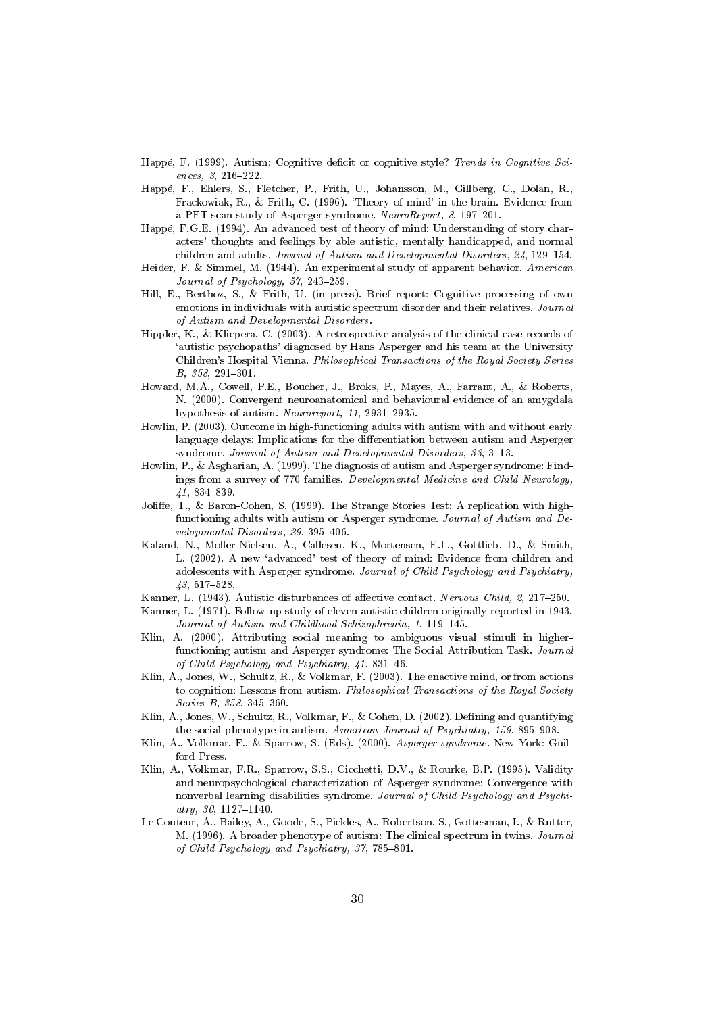- Happé, F. (1999). Autism: Cognitive deficit or cognitive style? Trends in Cognitive Sciences, 3, 216-222.
- Happé, F., Ehlers, S., Fletcher, P., Frith, U., Johansson, M., Gillberg, C., Dolan, R., Frackowiak, R., & Frith, C. (1996). 'Theory of mind' in the brain. Evidence from a PET scan study of Asperger syndrome. NeuroReport, 8, 197-201.
- Happé, F.G.E. (1994). An advanced test of theory of mind: Understanding of story characters' thoughts and feelings by able autistic, mentally handicapped, and normal children and adults. Journal of Autism and Developmental Disorders, 24, 129-154.
- Heider, F. & Simmel, M. (1944). An experimental study of apparent behavior. American Journal of Psychology, 57, 243-259.
- Hill, E., Berthoz, S., & Frith, U. (in press). Brief report: Cognitive processing of own emotions in individuals with autistic spectrum disorder and their relatives. Journal of Autism and Developmental Disorders.
- Hippler, K., & Klicpera, C. (2003). A retrospective analysis of the clinical case records of 'autistic psychopaths' diagnosed by Hans Asperger and his team at the University Children's Hospital Vienna. Philosophical Transactions of the Royal Society Series B, 358, 291-301.
- Howard, M.A., Cowell, P.E., Boucher, J., Broks, P., Mayes, A., Farrant, A., & Roberts, N. (2000). Convergent neuroanatomical and behavioural evidence of an amygdala hypothesis of autism. Neuroreport, 11, 2931-2935.
- Howlin, P. (2003). Outcome in high-functioning adults with autism with and without early language delays: Implications for the differentiation between autism and Asperger syndrome. Journal of Autism and Developmental Disorders, 33, 3-13.
- Howlin, P., & Asgharian, A. (1999). The diagnosis of autism and Asperger syndrome: Findings from a survey of 770 families. Developmental Medicine and Child Neurology,  $41,834-839.$
- Joliffe, T., & Baron-Cohen, S. (1999). The Strange Stories Test: A replication with highfunctioning adults with autism or Asperger syndrome. Journal of Autism and Developmental Disorders, 29, 395-406.
- Kaland, N., Moller-Nielsen, A., Callesen, K., Mortensen, E.L., Gottlieb, D., & Smith, L. (2002). A new 'advanced' test of theory of mind: Evidence from children and adolescents with Asperger syndrome. Journal of Child Psychology and Psychiatry,  $43, 517 - 528.$
- Kanner, L. (1943). Autistic disturbances of affective contact. Nervous Child, 2, 217-250.
- Kanner, L. (1971). Follow-up study of eleven autistic children originally reported in 1943. Journal of Autism and Childhood Schizophrenia, 1, 119-145.
- Klin, A. (2000). Attributing social meaning to ambiguous visual stimuli in higherfunctioning autism and Asperger syndrome: The Social Attribution Task. Journal of Child Psychology and Psychiatry, 41, 831-46.
- Klin, A., Jones, W., Schultz, R., & Volkmar, F. (2003). The enactive mind, or from actions to cognition: Lessons from autism. Philosophical Transactions of the Royal Society Series B, 358, 345-360.
- Klin, A., Jones, W., Schultz, R., Volkmar, F., & Cohen, D. (2002). Defining and quantifying the social phenotype in autism. American Journal of Psychiatry, 159, 895-908.
- Klin, A., Volkmar, F., & Sparrow, S. (Eds). (2000). Asperger syndrome. New York: Guilford Press.
- Klin, A., Volkmar, F.R., Sparrow, S.S., Cicchetti, D.V., & Rourke, B.P. (1995). Validity and neuropsychological characterization of Asperger syndrome: Convergence with nonverbal learning disabilities syndrome. Journal of Child Psychology and Psychi $atry, 30, 1127-1140.$
- Le Couteur, A., Bailey, A., Goode, S., Pickles, A., Robertson, S., Gottesman, I., & Rutter, M. (1996). A broader phenotype of autism: The clinical spectrum in twins. Journal of Child Psychology and Psychiatry, 37, 785-801.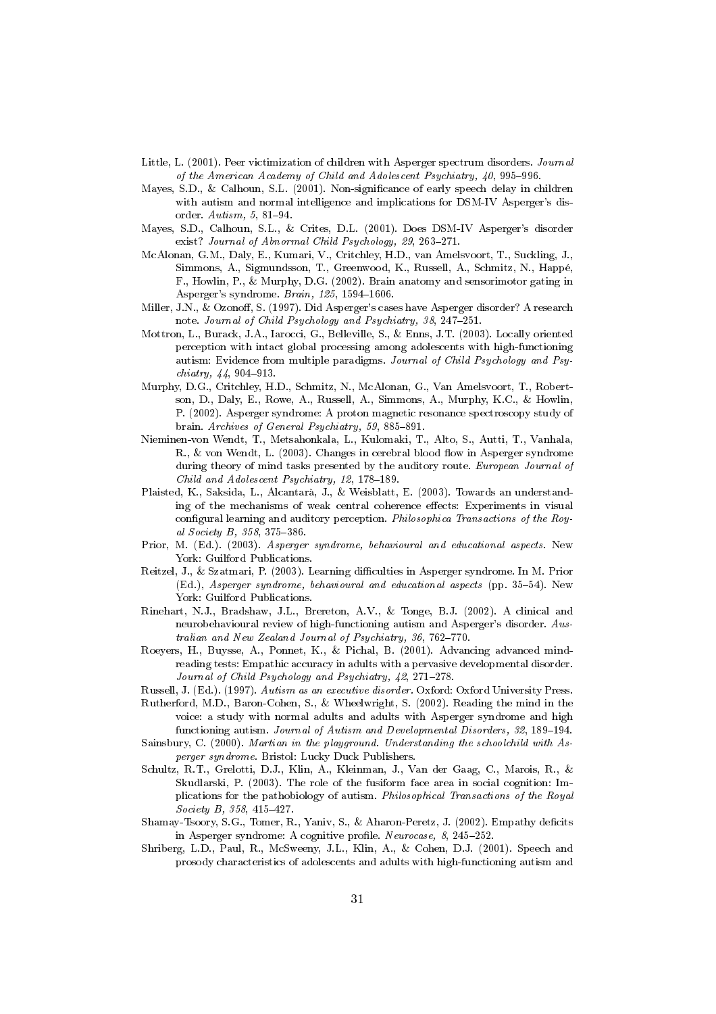- Little, L. (2001). Peer victimization of children with Asperger spectrum disorders. Journal of the American Academy of Child and Adolescent Psychiatry, 40, 995-996.
- Mayes, S.D., & Calhoun, S.L. (2001). Non-significance of early speech delay in children with autism and normal intelligence and implications for DSM-IV Asperger's disorder. Autism, 5, 81-94.
- Mayes, S.D., Calhoun, S.L., & Crites, D.L. (2001). Does DSM-IV Asperger's disorder exist? Journal of Abnormal Child Psychology, 29, 263-271.
- McAlonan, G.M., Daly, E., Kumari, V., Critchley, H.D., van Amelsvoort, T., Suckling, J., Simmons, A., Sigmundsson, T., Greenwood, K., Russell, A., Schmitz, N., Happé, F., Howlin, P., & Murphy, D.G. (2002). Brain anatomy and sensorimotor gating in Asperger's syndrome. Brain, 125, 1594-1606.
- Miller, J.N., & Ozonoff, S. (1997). Did Asperger's cases have Asperger disorder? A research note. Journal of Child Psychology and Psychiatry, 38, 247-251.
- Mottron, L., Burack, J.A., Iarocci, G., Belleville, S., & Enns, J.T. (2003). Locally oriented perception with intact global processing among adolescents with high-functioning autism: Evidence from multiple paradigms. Journal of Child Psychology and Psy $chiatry, 44, 904-913.$
- Murphy, D.G., Critchley, H.D., Schmitz, N., McAlonan, G., Van Amelsvoort, T., Robertson, D., Daly, E., Rowe, A., Russell, A., Simmons, A., Murphy, K.C., & Howlin, P. (2002). Asperger syndrome: A proton magnetic resonance spectroscopy study of brain. Archives of General Psychiatry, 59, 885-891.
- Nieminen-von Wendt, T., Metsahonkala, L., Kulomaki, T., Alto, S., Autti, T., Vanhala, R., & von Wendt, L. (2003). Changes in cerebral blood flow in Asperger syndrome during theory of mind tasks presented by the auditory route. European Journal of Child and Adolescent Psychiatry, 12, 178-189.
- Plaisted, K., Saksida, L., Alcantarà, J., & Weisblatt, E. (2003). Towards an understanding of the mechanisms of weak central coherence effects: Experiments in visual configural learning and auditory perception. Philosophica Transactions of the Royal Society B, 358, 375-386.
- Prior, M. (Ed.). (2003). Asperger syndrome, behavioural and educational aspects. New York: Guilford Publications.
- Reitzel, J., & Szatmari, P. (2003). Learning difficulties in Asperger syndrome. In M. Prior (Ed.), Asperger syndrome, behavioural and educational aspects (pp. 35-54). New York: Guilford Publications.
- Rinehart, N.J., Bradshaw, J.L., Brereton, A.V., & Tonge, B.J. (2002). A clinical and neurobehavioural review of high-functioning autism and Asperger's disorder. Australian and New Zealand Journal of Psychiatry, 36, 762-770.
- Roeyers, H., Buysse, A., Ponnet, K., & Pichal, B. (2001). Advancing advanced mindreading tests: Empathic accuracy in adults with a pervasive developmental disorder. Journal of Child Psychology and Psychiatry, 42, 271-278.
- Russell, J. (Ed.). (1997). Autism as an executive disorder. Oxford: Oxford University Press.
- Rutherford, M.D., Baron-Cohen, S., & Wheelwright, S. (2002). Reading the mind in the voice: a study with normal adults and adults with Asperger syndrome and high functioning autism. Journal of Autism and Developmental Disorders, 32, 189-194.
- Sainsbury, C. (2000). Martian in the playground. Understanding the schoolchild with Asperger syndrome. Bristol: Lucky Duck Publishers.
- Schultz, R.T., Grelotti, D.J., Klin, A., Kleinman, J., Van der Gaag, C., Marois, R., & Skudlarski, P. (2003). The role of the fusiform face area in social cognition: Implications for the pathobiology of autism. Philosophical Transactions of the Royal Society B, 358, 415-427.
- Shamay-Tsoory, S.G., Tomer, R., Yaniv, S., & Aharon-Peretz, J. (2002). Empathy deficits in Asperger syndrome: A cognitive profile. Neurocase, 8, 245-252.
- Shriberg, L.D., Paul, R., McSweeny, J.L., Klin, A., & Cohen, D.J. (2001). Speech and prosody characteristics of adolescents and adults with high-functioning autism and